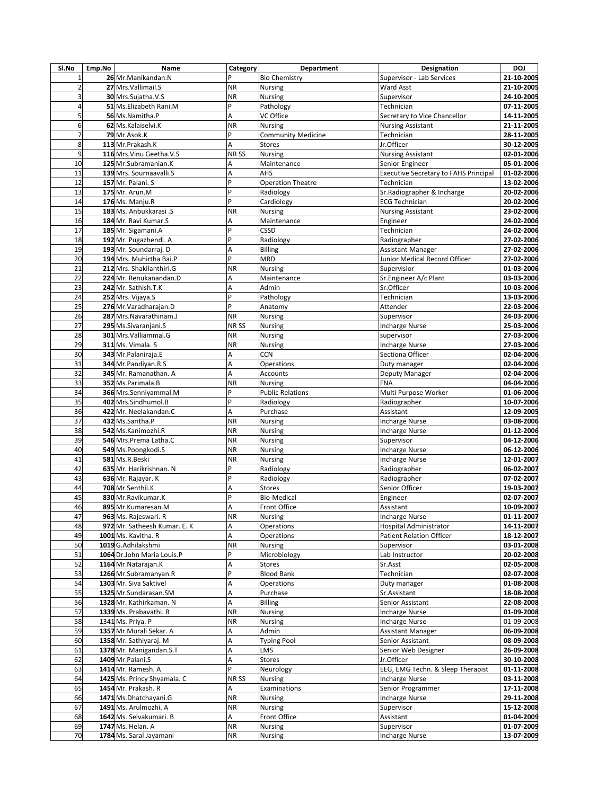| SI.No           | Emp.No | Name                         | Category  | Department                | <b>Designation</b>                           | DOJ        |
|-----------------|--------|------------------------------|-----------|---------------------------|----------------------------------------------|------------|
| $\mathbf{1}$    |        | 26 Mr.Manikandan.N           | Þ         | <b>Bio Chemistry</b>      | Supervisor - Lab Services                    | 21-10-2005 |
| $\overline{a}$  |        | 27 Mrs. Vallimail. S         | <b>NR</b> | <b>Nursing</b>            | Ward Asst                                    | 21-10-2005 |
| 3               |        | 30 Mrs.Sujatha.V.S           | <b>NR</b> | Nursing                   | Supervisor                                   | 24-10-2005 |
| 4               |        | 51 Ms.Elizabeth Rani.M       | P         | Pathology                 | Technician                                   | 07-11-2005 |
| 5               |        | 56 Ms.Namitha.P              | A         | VC Office                 | Secretary to Vice Chancellor                 | 14-11-2005 |
| 6               |        | 62 Ms.Kalaiselvi.K           | <b>NR</b> | <b>Nursing</b>            | <b>Nursing Assistant</b>                     | 21-11-2005 |
| $\overline{7}$  |        | 79 Mr.Asok.K                 | P         | <b>Community Medicine</b> | Technician                                   | 28-11-2005 |
| 8               |        | 113 Mr.Prakash.K             | A         | <b>Stores</b>             | Jr.Officer                                   | 30-12-2005 |
| 9               |        |                              |           |                           |                                              |            |
|                 |        | 116 Mrs. Vinu Geetha. V.S    | NR SS     | <b>Nursing</b>            | <b>Nursing Assistant</b>                     | 02-01-2006 |
| 10              |        | 125 Mr. Subramanian. K       | A         | Maintenance               | Senior Engineer                              | 05-01-2006 |
| 11              |        | 139 Mrs. Sournaavalli.S      | A         | AHS                       | <b>Executive Secretary to FAHS Principal</b> | 01-02-2006 |
| 12              |        | 157 Mr. Palani. S            | P         | <b>Operation Theatre</b>  | Technician                                   | 13-02-2006 |
| 13              |        | 175 Mr. Arun.M               | P         | Radiology                 | Sr.Radiographer & Incharge                   | 20-02-2006 |
| 14              |        | 176 Ms. Manju.R              | P         | Cardiology                | <b>ECG Technician</b>                        | 20-02-2006 |
| 15              |        | 183 Ms. Anbukkarasi .S       | <b>NR</b> | Nursing                   | <b>Nursing Assistant</b>                     | 23-02-2006 |
| 16              |        | 184 Mr. Ravi Kumar.S         | A         | Maintenance               | Engineer                                     | 24-02-2006 |
| 17              |        | 185 Mr. Sigamani.A           | P         | CSSD                      | Technician                                   | 24-02-2006 |
| 18              |        | 192 Mr. Pugazhendi. A        | P         | Radiology                 | Radiographer                                 | 27-02-2006 |
| 19              |        | 193 Mr. Soundarraj. D        | A         | <b>Billing</b>            | <b>Assistant Manager</b>                     | 27-02-2006 |
| 20              |        | 194 Mrs. Muhirtha Bai.P      | P         | <b>MRD</b>                | Junior Medical Record Officer                | 27-02-2006 |
| 21              |        | 212 Mrs. Shakilanthiri.G     | <b>NR</b> | Nursing                   | Supervisior                                  | 01-03-2006 |
| 22              |        | 224 Mr. Renukanandan.D       | A         | Maintenance               | Sr.Engineer A/c Plant                        | 03-03-2006 |
| 23              |        | 242 Mr. Sathish.T.K          |           | Admin                     | Sr.Officer                                   |            |
|                 |        |                              | Α<br>P    |                           |                                              | 10-03-2006 |
| 24              |        | 252 Mrs. Vijaya.S            |           | Pathology                 | Technician                                   | 13-03-2006 |
| 25              |        | 276 Mr. Varadharaian. D      | P         | Anatomy                   | Attender                                     | 22-03-2006 |
| 26              |        | 287 Mrs. Navarathinam. J     | <b>NR</b> | <b>Nursing</b>            | Supervisor                                   | 24-03-2006 |
| 27              |        | 295 Ms. Sivaranjani. S       | NR SS     | Nursing                   | <b>Incharge Nurse</b>                        | 25-03-2006 |
| 28              |        | 301 Mrs. Valliammal. G       | <b>NR</b> | Nursing                   | supervisor                                   | 27-03-2006 |
| 29              |        | 311 Ms. Vimala. S            | <b>NR</b> | Nursing                   | <b>Incharge Nurse</b>                        | 27-03-2006 |
| 30              |        | 343 Mr. Palaniraja. E        | А         | <b>CCN</b>                | Sectiona Officer                             | 02-04-2006 |
| $\overline{31}$ |        | 344 Mr.Pandiyan.R.S          | A         | Operations                | Duty manager                                 | 02-04-2006 |
| 32              |        | 345 Mr. Ramanathan. A        | A         | Accounts                  | Deputy Manager                               | 02-04-2006 |
| 33              |        | 352 Ms.Parimala.B            | <b>NR</b> | Nursing                   | <b>FNA</b>                                   | 04-04-2006 |
| 34              |        | 366 Mrs.Senniyammal.M        | P         | <b>Public Relations</b>   | Multi Purpose Worker                         | 01-06-2006 |
| 35              |        | 402 Mrs.Sindhumol.B          | P         | Radiology                 | Radiographer                                 | 10-07-2006 |
| 36              |        | 422 Mr. Neelakandan.C        | A         | Purchase                  | Assistant                                    | 12-09-2005 |
| 37              |        | 432 Ms.Saritha.P             | <b>NR</b> |                           |                                              |            |
|                 |        |                              |           | <b>Nursing</b>            | <b>Incharge Nurse</b>                        | 03-08-2006 |
| 38              |        | 542 Ms.Kanimozhi.R           | <b>NR</b> | <b>Nursing</b>            | <b>Incharge Nurse</b>                        | 01-12-2006 |
| 39              |        | 546 Mrs.Prema Latha.C        | NR        | <b>Nursing</b>            | Supervisor                                   | 04-12-2006 |
| 40              |        | 549 Ms.Poongkodi.S           | <b>NR</b> | Nursing                   | <b>Incharge Nurse</b>                        | 06-12-2006 |
| 41              |        | 581 Ms.R.Beski               | <b>NR</b> | Nursing                   | <b>Incharge Nurse</b>                        | 12-01-2007 |
| 42              |        | 635 Mr. Harikrishnan. N      | P         | Radiology                 | Radiographer                                 | 06-02-2007 |
| 43              |        | 636 Mr. Rajayar. K           | P         | Radiology                 | Radiographer                                 | 07-02-2007 |
| 44              |        | 708 Mr.Senthil.K             | A         | <b>Stores</b>             | Senior Officer                               | 19-03-2007 |
| 45              |        | 830 Mr.Ravikumar.K           | P         | <b>Bio-Medical</b>        | Engineer                                     | 02-07-2007 |
| 46              |        | 895 Mr.Kumaresan.M           | A         | Front Office              | Assistant                                    | 10-09-2007 |
| 47              |        | 963 Ms. Rajeswari. R         | NR.       | Nursing                   | Incharge Nurse                               | 01-11-2007 |
| 48              |        | 972 Mr. Satheesh Kumar. E. K | А         | Operations                | Hospital Administrator                       | 14-11-2007 |
| 49              |        | 1001 Ms. Kavitha. R          | А         | Operations                | <b>Patient Relation Officer</b>              | 18-12-2007 |
| 50              |        | 1019 G.Adhilakshmi           | <b>NR</b> | <b>Nursing</b>            | Supervisor                                   | 03-01-2008 |
| 51              |        | 1064 Dr.John Maria Louis.P   | P         | Microbiology              | Lab Instructor                               | 20-02-2008 |
| 52              |        | 1164 Mr. Natarajan. K        | A         | Stores                    | Sr.Asst                                      | 02-05-2008 |
|                 |        |                              | P         |                           |                                              |            |
| 53              |        | 1266 Mr.Subramanyan.R        |           | <b>Blood Bank</b>         | Technician                                   | 02-07-2008 |
| 54              |        | 1303 Mr. Siva Saktivel       | Α         | Operations                | Duty manager                                 | 01-08-2008 |
| 55              |        | 1325 Mr.Sundarasan.SM        | A         | Purchase                  | Sr.Assistant                                 | 18-08-2008 |
| 56              |        | 1328 Mr. Kathirkaman. N      | А         | <b>Billing</b>            | Senior Assistant                             | 22-08-2008 |
| 57              |        | 1339 Ms. Prabavathi. R       | ΝR        | Nursing                   | <b>Incharge Nurse</b>                        | 01-09-2008 |
| 58              |        | 1341 Ms. Priya. P            | NR        | Nursing                   | Incharge Nurse                               | 01-09-2008 |
| 59              |        | 1357 Mr. Murali Sekar. A     | Α         | Admin                     | <b>Assistant Manager</b>                     | 06-09-2008 |
| 60              |        | 1358 Mr. Sathiyaraj. M       | Α         | <b>Typing Pool</b>        | Senior Assistant                             | 08-09-2008 |
| 61              |        | 1378 Mr. Manigandan.S.T      | А         | LMS                       | Senior Web Designer                          | 26-09-2008 |
| 62              |        | 1409 Mr.Palani.S             | A         | Stores                    | Jr.Officer                                   | 30-10-2008 |
| 63              |        | 1414 Mr. Ramesh. A           | P         | Neurology                 | EEG, EMG Techn. & Sleep Therapist            | 01-11-2008 |
| 64              |        | 1425 Ms. Princy Shyamala. C  | NR SS     | Nursing                   | <b>Incharge Nurse</b>                        | 03-11-2008 |
| 65              |        | 1454 Mr. Prakash. R          | Α         | Examinations              | Senior Programmer                            | 17-11-2008 |
| 66              |        | 1471 Ms.Dhatchayani.G        | <b>NR</b> |                           | <b>Incharge Nurse</b>                        | 29-11-2008 |
| 67              |        | 1491 Ms. Arulmozhi. A        | NR        | Nursing                   |                                              |            |
|                 |        |                              |           | <b>Nursing</b>            | Supervisor                                   | 15-12-2008 |
| 68              |        | 1642 Ms. Selvakumari. B      | Α         | Front Office              | Assistant                                    | 01-04-2009 |
| 69              |        | 1747 Ms. Helan. A            | <b>NR</b> | Nursing                   | Supervisor                                   | 01-07-2009 |
| 70              |        | 1784 Ms. Saral Jayamani      | <b>NR</b> | Nursing                   | <b>Incharge Nurse</b>                        | 13-07-2009 |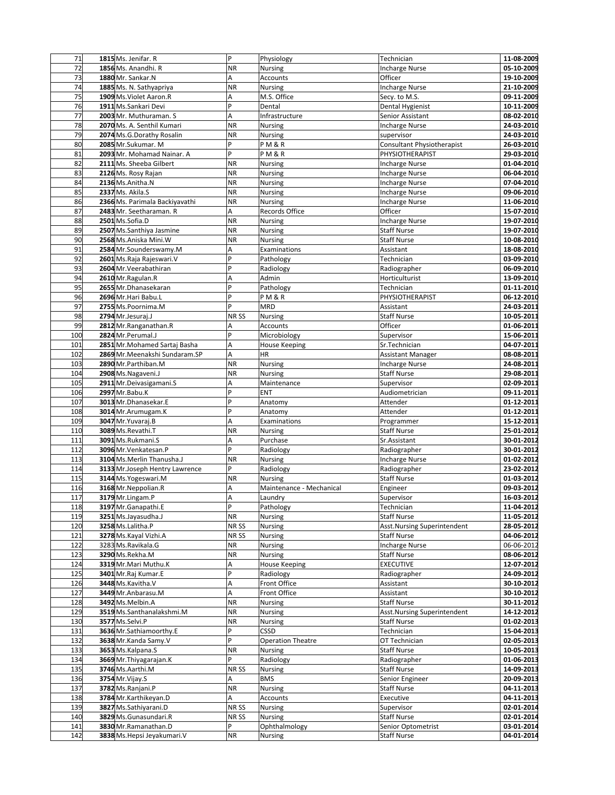| 71              | 1815 Ms. Jenifar. R             | P                | Physiology               | Technician                        | 11-08-2009 |
|-----------------|---------------------------------|------------------|--------------------------|-----------------------------------|------------|
| $\overline{72}$ | 1856 Ms. Anandhi. R             | <b>NR</b>        | Nursing                  | <b>Incharge Nurse</b>             | 05-10-2009 |
| 73              | 1880 Mr. Sankar.N               | Α                | Accounts                 | Officer                           | 19-10-2009 |
| 74              | 1885 Ms. N. Sathyapriya         | <b>NR</b>        | <b>Nursing</b>           | <b>Incharge Nurse</b>             | 21-10-2009 |
| $\overline{75}$ | 1909 Ms. Violet Aaron.R         | A                | M.S. Office              | Secy. to M.S.                     | 09-11-2009 |
| 76              | 1911 Ms.Sankari Devi            | $\overline{P}$   | Dental                   | Dental Hygienist                  | 10-11-2009 |
| $\overline{77}$ | 2003 Mr. Muthuraman, S.         | A                |                          |                                   | 08-02-2010 |
|                 |                                 |                  | Infrastructure           | Senior Assistant                  |            |
| 78              | 2070 Ms. A. Senthil Kumari      | <b>NR</b>        | Nursing                  | <b>Incharge Nurse</b>             | 24-03-2010 |
| 79              | 2074 Ms.G.Dorathy Rosalin       | <b>NR</b>        | Nursing                  | supervisor                        | 24-03-2010 |
| 80              | 2085 Mr.Sukumar. M              | P                | PM&R                     | <b>Consultant Physiotherapist</b> | 26-03-2010 |
| 81              | 2093 Mr. Mohamad Nainar. A      | $\overline{P}$   | <b>PM&amp;R</b>          | PHYSIOTHERAPIST                   | 29-03-2010 |
| 82              | 2111 Ms. Sheeba Gilbert         | <b>NR</b>        | Nursing                  | <b>Incharge Nurse</b>             | 01-04-2010 |
| 83              | 2126 Ms. Rosy Rajan             | <b>NR</b>        | Nursing                  | <b>Incharge Nurse</b>             | 06-04-2010 |
| 84              | 2136 Ms.Anitha.N                | <b>NR</b>        | Nursing                  | <b>Incharge Nurse</b>             | 07-04-2010 |
| 85              | 2337 Ms. Akila.S                | ΝR               | Nursing                  | <b>Incharge Nurse</b>             | 09-06-2010 |
| 86              | 2366 Ms. Parimala Backiyavathi  | <b>NR</b>        | Nursing                  | <b>Incharge Nurse</b>             | 11-06-2010 |
| 87              | 2483 Mr. Seetharaman. R         | A                | Records Office           | Officer                           | 15-07-2010 |
| 88              | 2501 Ms.Sofia.D                 | <b>NR</b>        | <b>Nursing</b>           | <b>Incharge Nurse</b>             | 19-07-2010 |
|                 |                                 |                  |                          |                                   |            |
| 89              | 2507 Ms.Santhiya Jasmine        | <b>NR</b>        | Nursing                  | <b>Staff Nurse</b>                | 19-07-2010 |
| 90              | 2568 Ms.Aniska Mini.W           | <b>NR</b>        | Nursing                  | <b>Staff Nurse</b>                | 10-08-2010 |
| 91              | 2584 Mr.Sounderswamy.M          | A                | Examinations             | Assistant                         | 18-08-2010 |
| 92              | 2601 Ms. Raja Rajeswari. V      | P                | Pathology                | Technician                        | 03-09-2010 |
| 93              | 2604 Mr. Veerabathiran          | P                | Radiology                | Radiographer                      | 06-09-2010 |
| 94              | 2610 Mr.Ragulan.R               | A                | Admin                    | Horticulturist                    | 13-09-2010 |
| 95              | 2655 Mr. Dhanasekaran           | P                | Pathology                | Technician                        | 01-11-2010 |
| 96              | 2696 Mr. Hari Babu.L            | P                | PM&R                     | PHYSIOTHERAPIST                   | 06-12-2010 |
| 97              | 2755 Ms.Poornima.M              | P                | <b>MRD</b>               | Assistant                         | 24-03-2011 |
| 98              | 2794 Mr.Jesuraj.J               | NR <sub>SS</sub> | <b>Nursing</b>           | <b>Staff Nurse</b>                | 10-05-2011 |
| 99              | 2812 Mr.Ranganathan.R           | Α                | Accounts                 | Officer                           | 01-06-2011 |
|                 | 2824 Mr.Perumal.J               | $\overline{P}$   |                          |                                   |            |
| 100             |                                 |                  | Microbiology             | Supervisor                        | 15-06-2011 |
| 101             | 2851 Mr. Mohamed Sartaj Basha   | A                | <b>House Keeping</b>     | Sr.Technician                     | 04-07-2011 |
| 102             | 2869 Mr. Meenakshi Sundaram. SP | Α                | HR                       | <b>Assistant Manager</b>          | 08-08-2011 |
| 103             | 2890 Mr.Parthiban.M             | <b>NR</b>        | Nursing                  | <b>Incharge Nurse</b>             | 24-08-2011 |
| 104             | 2908 Ms.Nagaveni.J              | <b>NR</b>        | Nursing                  | <b>Staff Nurse</b>                | 29-08-2011 |
| 105             | 2911 Mr. Deivasigamani. S       | A                | Maintenance              | Supervisor                        | 02-09-2011 |
| 106             | 2997 Mr.Babu.K                  | P                | ENT                      | Audiometrician                    | 09-11-2011 |
| 107             | 3013 Mr.Dhanasekar.E            | P                | Anatomy                  | Attender                          | 01-12-2011 |
| 108             | 3014 Mr. Arumugam. K            | P                | Anatomy                  | Attender                          | 01-12-2011 |
| 109             | 3047 Mr. Yuvaraj. B             | A                | Examinations             | Programmer                        | 15-12-2011 |
| 110             | 3089 Ms.Revathi.T               | <b>NR</b>        | <b>Nursing</b>           | <b>Staff Nurse</b>                | 25-01-2012 |
| 111             | 3091 Ms.Rukmani.S               | A                | Purchase                 | Sr.Assistant                      | 30-01-2012 |
| 112             | 3096 Mr. Venkatesan. P          | $\overline{P}$   |                          |                                   | 30-01-2012 |
|                 |                                 |                  | Radiology                | Radiographer                      |            |
| 113             | 3104 Ms. Merlin Thanusha.J      | <b>NR</b>        | Nursing                  | <b>Incharge Nurse</b>             | 01-02-2012 |
| 114             | 3133 Mr.Joseph Hentry Lawrence  | P                | Radiology                | Radiographer                      | 23-02-2012 |
| 115             | 3144 Ms. Yogeswari.M            | <b>NR</b>        | <b>Nursing</b>           | <b>Staff Nurse</b>                | 01-03-2012 |
| 116             | 3168 Mr. Neppolian.R            | Α                | Maintenance - Mechanical | Engineer                          | 09-03-2012 |
| 117             | 3179 Mr.Lingam.P                | A                | Laundry                  | Supervisor                        | 16-03-2012 |
| 118             | 3197 Mr. Ganapathi. E           | P                | Pathology                | Technician                        | 11-04-2012 |
| 119             | 3251 Ms.Jayasudha.J             | <b>NR</b>        | Nursing                  | <b>Staff Nurse</b>                | 11-05-2012 |
| 120             | 3258 Ms.Lalitha.P               | NR SS            | Nursing                  | Asst.Nursing Superintendent       | 28-05-2012 |
| 121             | 3278 Ms.Kayal Vizhi.A           | NR SS            | Nursing                  | <b>Staff Nurse</b>                | 04-06-2012 |
| 122             | 3283 Ms.Ravikala.G              | <b>NR</b>        | Nursing                  | <b>Incharge Nurse</b>             | 06-06-2012 |
| 123             | 3290 Ms.Rekha.M                 | <b>NR</b>        |                          | <b>Staff Nurse</b>                | 08-06-2012 |
|                 |                                 |                  | <b>Nursing</b>           |                                   |            |
| 124             | 3319 Mr. Mari Muthu.K           | Α                | <b>House Keeping</b>     | <b>EXECUTIVE</b>                  | 12-07-2012 |
| 125             | 3401 Mr.Raj Kumar.E             | P                | Radiology                | Radiographer                      | 24-09-2012 |
| 126             | 3448 Ms.Kavitha.V               | А                | Front Office             | Assistant                         | 30-10-2012 |
| 127             | 3449 Mr. Anbarasu.M             | A                | Front Office             | Assistant                         | 30-10-2012 |
| 128             | 3492 Ms.Melbin.A                | <b>NR</b>        | Nursing                  | <b>Staff Nurse</b>                | 30-11-2012 |
| 129             | 3519 Ms.Santhanalakshmi.M       | <b>NR</b>        | <b>Nursing</b>           | Asst.Nursing Superintendent       | 14-12-2012 |
| 130             | 3577 Ms.Selvi.P                 | <b>NR</b>        | Nursing                  | <b>Staff Nurse</b>                | 01-02-2013 |
| 131             | 3636 Mr.Sathiamoorthy.E         | P                | CSSD                     | Technician                        | 15-04-2013 |
| 132             | 3638 Mr.Kanda Samy.V            | P                | <b>Operation Theatre</b> | OT Technician                     | 02-05-2013 |
| 133             | 3653 Ms.Kalpana.S               | <b>NR</b>        | Nursing                  | <b>Staff Nurse</b>                | 10-05-2013 |
| 134             | 3669 Mr. Thiyagarajan. K        | Þ                | Radiology                | Radiographer                      | 01-06-2013 |
|                 |                                 |                  |                          |                                   |            |
| 135             | 3746 Ms.Aarthi.M                | NR SS            | <b>Nursing</b>           | <b>Staff Nurse</b>                | 14-09-2013 |
| 136             | 3754 Mr. Vijay. S               | Α                | <b>BMS</b>               | Senior Engineer                   | 20-09-2013 |
| 137             | 3782 Ms.Ranjani.P               | <b>NR</b>        | Nursing                  | <b>Staff Nurse</b>                | 04-11-2013 |
| 138             | 3784 Mr.Karthikeyan.D           | A                | Accounts                 | Executive                         | 04-11-2013 |
| 139             | 3827 Ms.Sathiyarani.D           | NR <sub>SS</sub> | <b>Nursing</b>           | Supervisor                        | 02-01-2014 |
| 140             | 3829 Ms.Gunasundari.R           | NR SS            | <b>Nursing</b>           | <b>Staff Nurse</b>                | 02-01-2014 |
| 141             | 3830 Mr.Ramanathan.D            | P                | Ophthalmology            | Senior Optometrist                | 03-01-2014 |
| 142             | 3838 Ms. Hepsi Jeyakumari. V    | ${\sf NR}$       | Nursing                  | <b>Staff Nurse</b>                | 04-01-2014 |
|                 |                                 |                  |                          |                                   |            |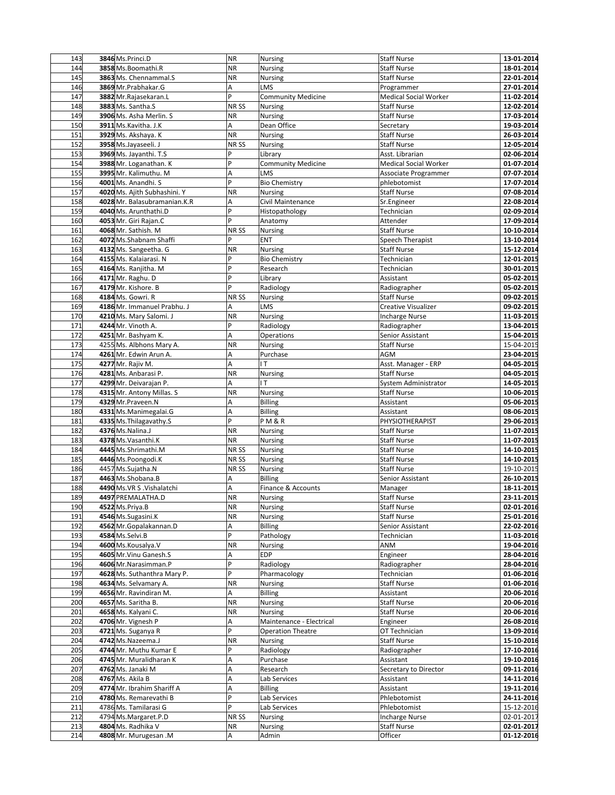| 143 | 3846 Ms.Princi.D             | <b>NR</b> | Nursing                   | <b>Staff Nurse</b>           | 13-01-2014 |
|-----|------------------------------|-----------|---------------------------|------------------------------|------------|
| 144 | 3858 Ms.Boomathi.R           | <b>NR</b> | Nursing                   | <b>Staff Nurse</b>           | 18-01-2014 |
| 145 | 3863 Ms. Chennammal.S        | <b>NR</b> | Nursing                   | <b>Staff Nurse</b>           | 22-01-2014 |
| 146 | 3869 Mr.Prabhakar.G          | A         | LMS                       | Programmer                   | 27-01-2014 |
| 147 | 3882 Mr.Rajasekaran.L        | P         | <b>Community Medicine</b> | <b>Medical Social Worker</b> | 11-02-2014 |
| 148 | 3883 Ms. Santha.S            | NR SS     | <b>Nursing</b>            | <b>Staff Nurse</b>           | 12-02-2014 |
| 149 | 3906 Ms. Asha Merlin. S      | <b>NR</b> | Nursing                   | <b>Staff Nurse</b>           | 17-03-2014 |
| 150 | 3911 Ms.Kavitha. J.K         | A         | Dean Office               | Secretary                    | 19-03-2014 |
| 151 | 3929 Ms. Akshaya. K          | <b>NR</b> | Nursing                   | <b>Staff Nurse</b>           | 26-03-2014 |
| 152 | 3958 Ms.Jayaseeli. J         | NR SS     |                           | <b>Staff Nurse</b>           | 12-05-2014 |
| 153 |                              | P         | Nursing<br>Library        | Asst. Librarian              |            |
|     | 3969 Ms. Jayanthi. T.S       | P         |                           |                              | 02-06-2014 |
| 154 | 3988 Mr. Loganathan. K       |           | <b>Community Medicine</b> | <b>Medical Social Worker</b> | 01-07-2014 |
| 155 | 3995 Mr. Kalimuthu. M        | A         | LMS                       | Associate Programmer         | 07-07-2014 |
| 156 | 4001 Ms. Anandhi. S          | P         | <b>Bio Chemistry</b>      | phlebotomist                 | 17-07-2014 |
| 157 | 4020 Ms. Ajith Subhashini. Y | <b>NR</b> | Nursing                   | <b>Staff Nurse</b>           | 07-08-2014 |
| 158 | 4028 Mr. Balasubramanian.K.R | A         | Civil Maintenance         | Sr.Engineer                  | 22-08-2014 |
| 159 | 4040 Ms. Arunthathi.D        | P         | Histopathology            | Technician                   | 02-09-2014 |
| 160 | 4053 Mr. Giri Rajan.C        | Þ         | Anatomy                   | Attender                     | 17-09-2014 |
| 161 | 4068 Mr. Sathish. M          | NR SS     | Nursing                   | <b>Staff Nurse</b>           | 10-10-2014 |
| 162 | 4072 Ms.Shabnam Shaffi       | P         | <b>ENT</b>                | Speech Therapist             | 13-10-2014 |
| 163 | 4132 Ms. Sangeetha. G        | <b>NR</b> | Nursing                   | <b>Staff Nurse</b>           | 15-12-2014 |
| 164 | 4155 Ms. Kalajarasi, N       | P         | <b>Bio Chemistry</b>      | Technician                   | 12-01-2015 |
| 165 | 4164 Ms. Ranjitha. M         | P         | Research                  | Technician                   | 30-01-2015 |
| 166 | 4171 Mr. Raghu. D            | P         | Library                   | Assistant                    | 05-02-2015 |
| 167 | 4179 Mr. Kishore. B          | P         | Radiology                 | Radiographer                 | 05-02-2015 |
| 168 | 4184 Ms. Gowri. R            | NR SS     | <b>Nursing</b>            | <b>Staff Nurse</b>           | 09-02-2015 |
| 169 | 4186 Mr. Immanuel Prabhu. J  | А         | LMS                       | Creative Visualizer          | 09-02-2015 |
| 170 | 4210 Ms. Mary Salomi. J      | <b>NR</b> | Nursing                   | <b>Incharge Nurse</b>        | 11-03-2015 |
| 171 | 4244 Mr. Vinoth A.           | P         | Radiology                 | Radiographer                 | 13-04-2015 |
| 172 | 4251 Mr. Bashyam K.          | A         |                           |                              | 15-04-2015 |
|     |                              |           | Operations                | Senior Assistant             |            |
| 173 | 4255 Ms. Albhons Mary A.     | <b>NR</b> | Nursing                   | <b>Staff Nurse</b>           | 15-04-2015 |
| 174 | 4261 Mr. Edwin Arun A.       | A         | Purchase                  | AGM                          | 23-04-2015 |
| 175 | 4277 Mr. Rajiv M.            | Α         | IT.                       | Asst. Manager - ERP          | 04-05-2015 |
| 176 | 4281 Ms. Anbarasi P.         | <b>NR</b> | Nursing                   | <b>Staff Nurse</b>           | 04-05-2015 |
| 177 | 4299 Mr. Deivarajan P.       | Α         | T                         | System Administrator         | 14-05-2015 |
| 178 | 4315 Mr. Antony Millas. S    | <b>NR</b> | Nursing                   | <b>Staff Nurse</b>           | 10-06-2015 |
| 179 | 4329 Mr.Praveen.N            | Α         | <b>Billing</b>            | Assistant                    | 05-06-2015 |
| 180 | 4331 Ms.Manimegalai.G        | Α         | <b>Billing</b>            | Assistant                    | 08-06-2015 |
| 181 | 4335 Ms. Thilagavathy. S     | P         | <b>PM&amp;R</b>           | PHYSIOTHERAPIST              | 29-06-2015 |
| 182 | 4376 Ms.Nalina.J             | NR        | Nursing                   | <b>Staff Nurse</b>           | 11-07-2015 |
| 183 | 4378 Ms. Vasanthi.K          | <b>NR</b> | Nursing                   | <b>Staff Nurse</b>           | 11-07-2015 |
| 184 | 4445 Ms.Shrimathi.M          | NR SS     | <b>Nursing</b>            | <b>Staff Nurse</b>           | 14-10-2015 |
| 185 | 4446 Ms.Poongodi.K           | NR SS     | Nursing                   | <b>Staff Nurse</b>           | 14-10-2015 |
| 186 | 4457 Ms.Sujatha.N            | NR SS     | Nursing                   | <b>Staff Nurse</b>           | 19-10-2015 |
| 187 | 4463 Ms.Shobana.B            | А         | <b>Billing</b>            | Senior Assistant             | 26-10-2015 |
| 188 | 4490 Ms. VR S . Vishalatchi  | A         | Finance & Accounts        | Manager                      | 18-11-2015 |
| 189 | 4497 PREMALATHA.D            | <b>NR</b> | Nursing                   | <b>Staff Nurse</b>           | 23-11-2015 |
| 190 | 4522 Ms.Priya.B              | <b>NR</b> | Nursing                   | Staff Nurse                  | 02-01-2016 |
| 191 | 4546 Ms.Sugasini.K           | <b>NR</b> | Nursing                   | <b>Staff Nurse</b>           | 25-01-2016 |
| 192 | 4562 Mr.Gopalakannan.D       | А         | <b>Billing</b>            | Senior Assistant             | 22-02-2016 |
| 193 | 4584 Ms.Selvi.B              | P         | Pathology                 | Technician                   | 11-03-2016 |
| 194 | 4600 Ms.Kousalya.V           | <b>NR</b> | Nursing                   | ANM                          | 19-04-2016 |
| 195 | 4605 Mr. Vinu Ganesh. S      | А         | <b>EDP</b>                | Engineer                     | 28-04-2016 |
| 196 | 4606 Mr. Narasimman. P       | P         | Radiology                 | Radiographer                 | 28-04-2016 |
|     | 4628 Ms. Suthanthra Mary P.  | P         |                           |                              |            |
| 197 |                              |           | Pharmacology              | Technician                   | 01-06-2016 |
| 198 | 4634 Ms. Selvamary A.        | <b>NR</b> | Nursing                   | <b>Staff Nurse</b>           | 01-06-2016 |
| 199 | 4656 Mr. Ravindiran M.       | A         | <b>Billing</b>            | Assistant                    | 20-06-2016 |
| 200 | 4657 Ms. Saritha B.          | <b>NR</b> | Nursing                   | <b>Staff Nurse</b>           | 20-06-2016 |
| 201 | 4658 Ms. Kalyani C.          | <b>NR</b> | Nursing                   | <b>Staff Nurse</b>           | 20-06-2016 |
| 202 | 4706 Mr. Vignesh P           | А         | Maintenance - Electrical  | Engineer                     | 26-08-2016 |
| 203 | 4721 Ms. Suganya R           | P         | <b>Operation Theatre</b>  | OT Technician                | 13-09-2016 |
| 204 | 4742 Ms.Nazeema.J            | <b>NR</b> | <b>Nursing</b>            | <b>Staff Nurse</b>           | 15-10-2016 |
| 205 | 4744 Mr. Muthu Kumar E       | P         | Radiology                 | Radiographer                 | 17-10-2016 |
| 206 | 4745 Mr. Muralidharan K      | A         | Purchase                  | Assistant                    | 19-10-2016 |
| 207 | 4762 Ms. Janaki M            | Α         | Research                  | Secretary to Director        | 09-11-2016 |
| 208 | 4767 Ms. Akila B             | A         | Lab Services              | Assistant                    | 14-11-2016 |
| 209 | 4774 Mr. Ibrahim Shariff A   | Α         | <b>Billing</b>            | Assistant                    | 19-11-2016 |
| 210 | 4780 Ms. Remarevathi B       | P         | Lab Services              | Phlebotomist                 | 24-11-2016 |
| 211 | 4786 Ms. Tamilarasi G        | P         | Lab Services              | Phlebotomist                 | 15-12-2016 |
| 212 | 4794 Ms.Margaret.P.D         | NR SS     | Nursing                   | <b>Incharge Nurse</b>        | 02-01-2017 |
| 213 | 4804 Ms. Radhika V           | <b>NR</b> | Nursing                   | <b>Staff Nurse</b>           | 02-01-2017 |
| 214 | 4808 Mr. Murugesan .M        | А         | Admin                     | Officer                      | 01-12-2016 |
|     |                              |           |                           |                              |            |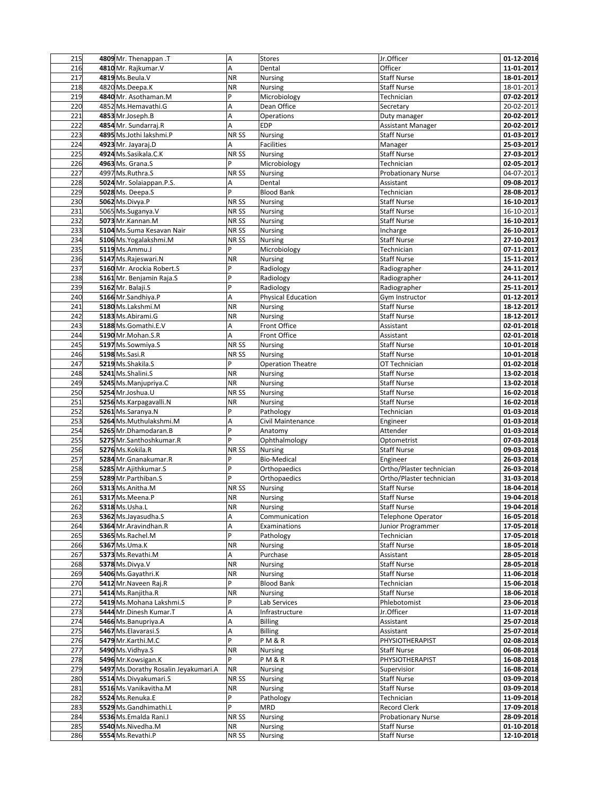| 215 | 4809 Mr. Thenappan .T                | A                | <b>Stores</b>             | Jr.Officer                | 01-12-2016 |
|-----|--------------------------------------|------------------|---------------------------|---------------------------|------------|
| 216 | 4810 Mr. Rajkumar.V                  | A                | Dental                    | Officer                   | 11-01-2017 |
| 217 | 4819 Ms. Beula. V                    | <b>NR</b>        | Nursing                   | <b>Staff Nurse</b>        | 18-01-2017 |
| 218 | 4820 Ms.Deepa.K                      | <b>NR</b>        | Nursing                   | <b>Staff Nurse</b>        | 18-01-2017 |
| 219 | 4840 Mr. Asothaman.M                 | P                | Microbiology              | Technician                | 07-02-2017 |
| 220 | 4852 Ms.Hemavathi.G                  | A                | Dean Office               | Secretary                 | 20-02-2017 |
|     |                                      |                  |                           |                           |            |
| 221 | 4853 Mr.Joseph.B                     | A                | Operations                | Duty manager              | 20-02-2017 |
| 222 | 4854 Mr. Sundarraj.R                 | A                | <b>EDP</b>                | <b>Assistant Manager</b>  | 20-02-2017 |
| 223 | 4895 Ms.Jothi lakshmi.P              | NR <sub>SS</sub> | Nursing                   | <b>Staff Nurse</b>        | 01-03-2017 |
| 224 | 4923 Mr. Jayaraj.D                   | Α                | <b>Facilities</b>         | Manager                   | 25-03-2017 |
| 225 | 4924 Ms.Sasikala.C.K                 | NR <sub>SS</sub> | Nursing                   | <b>Staff Nurse</b>        | 27-03-2017 |
| 226 | 4963 Ms. Grana.S                     | P                | Microbiology              | Technician                | 02-05-2017 |
| 227 | 4997 Ms.Ruthra.S                     | NR SS            | Nursing                   | <b>Probationary Nurse</b> | 04-07-2017 |
| 228 | 5024 Mr. Solaiappan.P.S.             | Α                | Dental                    | Assistant                 | 09-08-2017 |
| 229 | 5028 Ms. Deepa.S                     | P                | <b>Blood Bank</b>         | Technician                | 28-08-2017 |
|     | 5062 Ms.Divya.P                      |                  |                           |                           |            |
| 230 |                                      | NR SS            | Nursing                   | <b>Staff Nurse</b>        | 16-10-2017 |
| 231 | 5065 Ms.Suganya.V                    | NR <sub>SS</sub> | Nursing                   | <b>Staff Nurse</b>        | 16-10-2017 |
| 232 | 5073 Mr.Kannan.M                     | NR <sub>SS</sub> | Nursing                   | <b>Staff Nurse</b>        | 16-10-2017 |
| 233 | 5104 Ms.Suma Kesavan Nair            | NR <sub>SS</sub> | Nursing                   | Incharge                  | 26-10-2017 |
| 234 | 5106 Ms. Yogalakshmi. M              | NR SS            | Nursing                   | <b>Staff Nurse</b>        | 27-10-2017 |
| 235 | 5119 Ms.Ammu.J                       | p                | Microbiology              | Technician                | 07-11-2017 |
| 236 | 5147 Ms.Rajeswari.N                  | <b>NR</b>        | Nursing                   | <b>Staff Nurse</b>        | 15-11-2017 |
| 237 | 5160 Mr. Arockia Robert.S            | P                | Radiology                 | Radiographer              | 24-11-2017 |
| 238 | 5161 Mr. Benjamin Raja.S             | P                | Radiology                 | Radiographer              | 24-11-2017 |
| 239 | 5162 Mr. Balaji.S                    | P                | Radiology                 | Radiographer              | 25-11-2017 |
| 240 |                                      | A                |                           |                           |            |
|     | 5166 Mr.Sandhiya.P                   |                  | <b>Physical Education</b> | Gym Instructor            | 01-12-2017 |
| 241 | 5180 Ms.Lakshmi.M                    | <b>NR</b>        | Nursing                   | <b>Staff Nurse</b>        | 18-12-2017 |
| 242 | 5183 Ms.Abirami.G                    | <b>NR</b>        | Nursing                   | <b>Staff Nurse</b>        | 18-12-2017 |
| 243 | 5188 Ms.Gomathi.E.V                  | Α                | Front Office              | Assistant                 | 02-01-2018 |
| 244 | 5190 Mr.Mohan.S.R                    | A                | Front Office              | Assistant                 | 02-01-2018 |
| 245 | 5197 Ms.Sowmiya.S                    | NR <sub>SS</sub> | <b>Nursing</b>            | <b>Staff Nurse</b>        | 10-01-2018 |
| 246 | 5198 Ms.Sasi.R                       | NR <sub>SS</sub> | Nursing                   | <b>Staff Nurse</b>        | 10-01-2018 |
| 247 | 5219 Ms.Shakila.S                    | P                | <b>Operation Theatre</b>  | OT Technician             | 01-02-2018 |
| 248 | 5241 Ms.Shalini.S                    | <b>NR</b>        | Nursing                   | <b>Staff Nurse</b>        | 13-02-2018 |
| 249 | 5245 Ms.Manjupriya.C                 | <b>NR</b>        | Nursing                   | <b>Staff Nurse</b>        | 13-02-2018 |
| 250 | 5254 Mr.Joshua.U                     | NR <sub>SS</sub> | <b>Nursing</b>            | <b>Staff Nurse</b>        | 16-02-2018 |
| 251 | 5256 Ms. Karpagavalli. N             | <b>NR</b>        |                           | <b>Staff Nurse</b>        | 16-02-2018 |
|     |                                      | P                | Nursing                   |                           |            |
| 252 | 5261 Ms.Saranya.N                    |                  | Pathology                 | Technician                | 01-03-2018 |
| 253 | 5264 Ms.Muthulakshmi.M               | Α                | Civil Maintenance         | Engineer                  | 01-03-2018 |
| 254 | 5265 Mr.Dhamodaran.B                 | P                | Anatomy                   | Attender                  | 01-03-2018 |
| 255 | 5275 Mr.Santhoshkumar.R              | P                | Ophthalmology             | Optometrist               | 07-03-2018 |
| 256 | 5276 Ms.Kokila.R                     | NR <sub>SS</sub> | <b>Nursing</b>            | <b>Staff Nurse</b>        | 09-03-2018 |
| 257 | 5284 Mr. Gnanakumar. R               | P                | <b>Bio-Medical</b>        | Engineer                  | 26-03-2018 |
| 258 | 5285 Mr. Ajithkumar. S               | P                | Orthopaedics              | Ortho/Plaster technician  | 26-03-2018 |
| 259 | 5289 Mr.Parthiban.S                  | P                | Orthopaedics              | Ortho/Plaster technician  | 31-03-2018 |
| 260 | 5313 Ms.Anitha.M                     | NR <sub>SS</sub> | Nursing                   | <b>Staff Nurse</b>        | 18-04-2018 |
| 261 | 5317 Ms.Meena.P                      | <b>NR</b>        | <b>Nursing</b>            | <b>Staff Nurse</b>        | 19-04-2018 |
| 262 | 5318 Ms.Usha.L                       | <b>NR</b>        | Nursing                   | Staff Nurse               | 19-04-2018 |
| 263 | 5362 Ms.Jayasudha.S                  | Α                | Communication             | <b>Telephone Operator</b> | 16-05-2018 |
|     |                                      |                  |                           |                           |            |
| 264 | 5364 Mr.Aravindhan.R                 | Α<br>P           | Examinations              | Junior Programmer         | 17-05-2018 |
| 265 | 5365 Ms.Rachel.M                     |                  | Pathology                 | Technician                | 17-05-2018 |
| 266 | 5367 Ms.Uma.K                        | <b>NR</b>        | Nursing                   | Staff Nurse               | 18-05-2018 |
| 267 | 5373 Ms.Revathi.M                    | Α                | Purchase                  | Assistant                 | 28-05-2018 |
| 268 | 5378 Ms.Divya.V                      | <b>NR</b>        | <b>Nursing</b>            | Staff Nurse               | 28-05-2018 |
| 269 | 5406 Ms.Gayathri.K                   | <b>NR</b>        | <b>Nursing</b>            | <b>Staff Nurse</b>        | 11-06-2018 |
| 270 | 5412 Mr. Naveen Raj.R                | P                | <b>Blood Bank</b>         | Technician                | 15-06-2018 |
| 271 | 5414 Ms.Ranjitha.R                   | <b>NR</b>        | Nursing                   | Staff Nurse               | 18-06-2018 |
| 272 | 5419 Ms. Mohana Lakshmi. S           | P                | Lab Services              | Phlebotomist              | 23-06-2018 |
| 273 | 5444 Mr.Dinesh Kumar.T               | Α                | Infrastructure            | Jr.Officer                | 11-07-2018 |
| 274 | 5466 Ms.Banupriya.A                  | A                | <b>Billing</b>            | Assistant                 | 25-07-2018 |
| 275 | 5467 Ms. Elavarasi. S                | Α                | <b>Billing</b>            | Assistant                 | 25-07-2018 |
|     |                                      | P                |                           |                           |            |
| 276 | 5479 Mr.Karthi.M.C                   |                  | P M & R                   | PHYSIOTHERAPIST           | 02-08-2018 |
| 277 | 5490 Ms. Vidhya. S                   | <b>NR</b>        | Nursing                   | <b>Staff Nurse</b>        | 06-08-2018 |
| 278 | 5496 Mr.Kowsigan.K                   | Þ                | P M & R                   | PHYSIOTHERAPIST           | 16-08-2018 |
| 279 | 5497 Ms.Dorathy Rosalin Jeyakumari.A | <b>NR</b>        | Nursing                   | Supervisior               | 16-08-2018 |
| 280 | 5514 Ms.Divyakumari.S                | NR SS            | Nursing                   | <b>Staff Nurse</b>        | 03-09-2018 |
| 281 | 5516 Ms. Vanikavitha. M              | <b>NR</b>        | Nursing                   | <b>Staff Nurse</b>        | 03-09-2018 |
| 282 | 5524 Ms.Renuka.E                     | P                | Pathology                 | Technician                | 11-09-2018 |
| 283 | 5529 Ms.Gandhimathi.L                | P                | MRD                       | Record Clerk              | 17-09-2018 |
| 284 | 5536 Ms.Emalda Rani.I                | NR SS            | Nursing                   | <b>Probationary Nurse</b> | 28-09-2018 |
| 285 | 5540 Ms.Nivedha.M                    | <b>NR</b>        | <b>Nursing</b>            | <b>Staff Nurse</b>        | 01-10-2018 |
| 286 | 5554 Ms.Revathi.P                    | NR SS            | <b>Nursing</b>            | <b>Staff Nurse</b>        | 12-10-2018 |
|     |                                      |                  |                           |                           |            |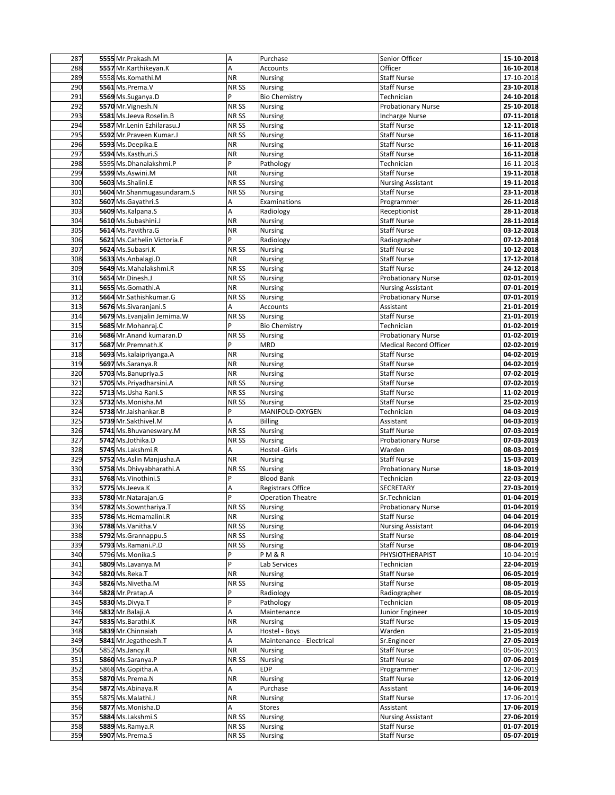| 287        | 5555 Mr.Prakash.M                  | A                | Purchase                         | Senior Officer                           | 15-10-2018               |
|------------|------------------------------------|------------------|----------------------------------|------------------------------------------|--------------------------|
| 288        | 5557 Mr.Karthikeyan.K              | A                | Accounts                         | Officer                                  | 16-10-2018               |
| 289        | 5558 Ms.Komathi.M                  | <b>NR</b>        | Nursing                          | <b>Staff Nurse</b>                       | 17-10-2018               |
| 290        | 5561 Ms.Prema.V                    | NR SS            | Nursing                          | <b>Staff Nurse</b>                       | 23-10-2018               |
| 291        | 5569 Ms.Suganya.D                  | P                | <b>Bio Chemistry</b>             | Technician                               | 24-10-2018               |
| 292        | 5570 Mr. Vignesh.N                 | NR <sub>SS</sub> | <b>Nursing</b>                   | <b>Probationary Nurse</b>                | 25-10-2018               |
|            |                                    |                  |                                  |                                          |                          |
| 293        | 5581 Ms.Jeeva Roselin.B            | NR <sub>SS</sub> | <b>Nursing</b>                   | <b>Incharge Nurse</b>                    | 07-11-2018               |
| 294        | 5587 Mr.Lenin Ezhilarasu.J         | NR SS            | Nursing                          | <b>Staff Nurse</b>                       | 12-11-2018               |
| 295        | 5592 Mr.Praveen Kumar.J            | NR <sub>SS</sub> | Nursing                          | <b>Staff Nurse</b>                       | 16-11-2018               |
| 296        | 5593 Ms.Deepika.E                  | <b>NR</b>        | Nursing                          | <b>Staff Nurse</b>                       | 16-11-2018               |
| 297        | 5594 Ms.Kasthuri.S                 | <b>NR</b>        | Nursing                          | <b>Staff Nurse</b>                       | 16-11-2018               |
| 298        | 5595 Ms.Dhanalakshmi.P             | P                | Pathology                        | Technician                               | 16-11-2018               |
| 299        | 5599 Ms.Aswini.M                   | <b>NR</b>        | Nursing                          | <b>Staff Nurse</b>                       | 19-11-2018               |
| 300        | 5603 Ms.Shalini.E                  | NR SS            | Nursing                          | <b>Nursing Assistant</b>                 | 19-11-2018               |
| 301        | 5604 Mr.Shanmugasundaram.S         | NR SS            |                                  | <b>Staff Nurse</b>                       | 23-11-2018               |
|            |                                    |                  | Nursing                          |                                          |                          |
| 302        | 5607 Ms.Gayathri.S                 | Α                | Examinations                     | Programmer                               | 26-11-2018               |
| 303        | 5609 Ms.Kalpana.S                  | Α                | Radiology                        | Receptionist                             | 28-11-2018               |
| 304        | 5610 Ms.Subashini.J                | <b>NR</b>        | <b>Nursing</b>                   | <b>Staff Nurse</b>                       | 28-11-2018               |
| 305        | 5614 Ms.Pavithra.G                 | <b>NR</b>        | <b>Nursing</b>                   | <b>Staff Nurse</b>                       | 03-12-2018               |
| 306        | 5621 Ms.Cathelin Victoria.E        | P                | Radiology                        | Radiographer                             | 07-12-2018               |
| 307        | 5624 Ms.Subasri.K                  | NR <sub>SS</sub> | Nursing                          | <b>Staff Nurse</b>                       | 10-12-2018               |
| 308        | 5633 Ms.Anbalagi.D                 | <b>NR</b>        | Nursing                          | <b>Staff Nurse</b>                       | 17-12-2018               |
| 309        | 5649 Ms.Mahalakshmi.R              | NR <sub>SS</sub> | Nursing                          | <b>Staff Nurse</b>                       | 24-12-2018               |
| 310        | 5654 Mr.Dinesh.J                   | NR <sub>SS</sub> | <b>Nursing</b>                   | <b>Probationary Nurse</b>                | 02-01-2019               |
| 311        | 5655 Ms.Gomathi.A                  | <b>NR</b>        |                                  |                                          | 07-01-2019               |
|            |                                    |                  | Nursing                          | <b>Nursing Assistant</b>                 |                          |
| 312        | 5664 Mr.Sathishkumar.G             | NR <sub>SS</sub> | Nursing                          | Probationary Nurse                       | 07-01-2019               |
| 313        | 5676 Ms.Sivaranjani.S              | A                | Accounts                         | Assistant                                | 21-01-2019               |
| 314        | 5679 Ms. Evanjalin Jemima. W       | NR SS            | Nursing                          | <b>Staff Nurse</b>                       | 21-01-2019               |
| 315        | 5685 Mr.Mohanraj.C                 | P                | <b>Bio Chemistry</b>             | Technician                               | 01-02-2019               |
| 316        | 5686 Mr.Anand kumaran.D            | NR SS            | <b>Nursing</b>                   | <b>Probationary Nurse</b>                | 01-02-2019               |
| 317        | 5687 Mr.Premnath.K                 | P                | <b>MRD</b>                       | <b>Medical Record Officer</b>            | 02-02-2019               |
| 318        | 5693 Ms.kalaipriyanga.A            | <b>NR</b>        | Nursing                          | <b>Staff Nurse</b>                       | 04-02-2019               |
| 319        | 5697 Ms.Saranya.R                  | <b>NR</b>        | Nursing                          | <b>Staff Nurse</b>                       | 04-02-2019               |
| 320        | 5703 Ms.Banupriya.S                | <b>NR</b>        | Nursing                          | <b>Staff Nurse</b>                       | 07-02-2019               |
| 321        | 5705 Ms.Priyadharsini.A            | NR <sub>SS</sub> | Nursing                          | <b>Staff Nurse</b>                       | 07-02-2019               |
|            |                                    |                  |                                  |                                          |                          |
| 322        | 5713 Ms.Usha Rani.S                | NR <sub>SS</sub> | <b>Nursing</b>                   | <b>Staff Nurse</b>                       | 11-02-2019               |
| 323        | 5732 Ms.Monisha.M                  | NR <sub>SS</sub> | <b>Nursing</b>                   | <b>Staff Nurse</b>                       | 25-02-2019               |
| 324        | 5738 Mr.Jaishankar.B               | P                | MANIFOLD-OXYGEN                  | Technician                               | 04-03-2019               |
| 325        | 5739 Mr.Sakthivel.M                | A                | Billing                          | Assistant                                | 04-03-2019               |
| 326        |                                    | NR <sub>SS</sub> | Nursing                          | <b>Staff Nurse</b>                       | 07-03-2019               |
| 327        | 5741 Ms. Bhuvaneswary. M           |                  |                                  |                                          |                          |
|            | 5742 Ms.Jothika.D                  | NR <sub>SS</sub> | Nursing                          | <b>Probationary Nurse</b>                | 07-03-2019               |
| 328        | 5745 Ms.Lakshmi.R                  | A                | Hostel -Girls                    | Warden                                   | 08-03-2019               |
|            |                                    |                  |                                  | <b>Staff Nurse</b>                       |                          |
| 329        | 5752 Ms.Aslin Manjusha.A           | <b>NR</b>        | <b>Nursing</b>                   |                                          | 15-03-2019               |
| 330        | 5758 Ms.Dhivyabharathi.A           | NR <sub>SS</sub> | Nursing                          | <b>Probationary Nurse</b>                | 18-03-2019               |
| 331        | 5768 Ms. Vinothini. S              | P                | <b>Blood Bank</b>                | Technician                               | 22-03-2019               |
| 332        | 5775 Ms.Jeeva.K                    | Α                | <b>Registrars Office</b>         | SECRETARY                                | 27-03-2019               |
| 333        | 5780 Mr. Natarajan. G              | P                | <b>Operation Theatre</b>         | Sr.Technician                            | 01-04-2019               |
| 334        | 5782 Ms.Sownthariya.T              | <b>NRSS</b>      | <b>Nursing</b>                   | <b>Probationary Nurse</b>                | 01-04-2019               |
| 335        | 5786 Ms.Hemamalini.R               | <b>NR</b>        | Nursing                          | <b>Staff Nurse</b>                       | 04-04-2019               |
| 336        | 5788 Ms. Vanitha. V                | NR SS            | Nursing                          | <b>Nursing Assistant</b>                 | 04-04-2019               |
| 338        | 5792 Ms.Grannappu.S                | NR SS            | Nursing                          | <b>Staff Nurse</b>                       | 08-04-2019               |
| 339        | 5793 Ms.Ramani.P.D                 | NR <sub>SS</sub> | Nursing                          | <b>Staff Nurse</b>                       | 08-04-2019               |
| 340        | 5796 Ms. Monika. S                 | P                | <b>PM&amp;R</b>                  | PHYSIOTHERAPIST                          | 10-04-2019               |
|            | 5809 Ms.Lavanya.M                  | $\overline{P}$   |                                  |                                          |                          |
| 341        |                                    |                  | Lab Services                     | Technician                               | 22-04-2019               |
| 342        | 5820 Ms.Reka.T                     | <b>NR</b>        | <b>Nursing</b>                   | <b>Staff Nurse</b>                       | 06-05-2019               |
| 343        | 5826 Ms.Nivetha.M                  | NR SS            | Nursing                          | <b>Staff Nurse</b>                       | 08-05-2019               |
| 344        | 5828 Mr.Pratap.A                   | p                | Radiology                        | Radiographer                             | 08-05-2019               |
| 345        | 5830 Ms.Divya.T                    | P                | Pathology                        | Technician                               | 08-05-2019               |
| 346        | 5832 Mr.Balaji.A                   | A                | Maintenance                      | Junior Engineer                          | 10-05-2019               |
| 347        | 5835 Ms.Barathi.K                  | <b>NR</b>        | Nursing                          | <b>Staff Nurse</b>                       | 15-05-2019               |
| 348        | 5839 Mr.Chinnaiah                  | Α                | Hostel - Boys                    | Warden                                   | 21-05-2019               |
| 349        | 5841 Mr.Jegatheesh.T               | A                | Maintenance - Electrical         | Sr.Engineer                              | 27-05-2019               |
| 350        | 5852 Ms.Jancy.R                    | <b>NR</b>        | Nursing                          | <b>Staff Nurse</b>                       | 05-06-2019               |
| 351        | 5860 Ms.Saranya.P                  | NR SS            |                                  | Staff Nurse                              | 07-06-2019               |
|            |                                    | Α                | Nursing<br>EDP                   |                                          |                          |
| 352        | 5868 Ms. Gopitha.A                 |                  |                                  | Programmer                               | 12-06-2019               |
| 353        | 5870 Ms.Prema.N                    | <b>NR</b>        | Nursing                          | <b>Staff Nurse</b>                       | 12-06-2019               |
| 354        | 5872 Ms.Abinaya.R                  | A                | Purchase                         | Assistant                                | 14-06-2019               |
| 355        | 5875 Ms.Malathi.J                  | <b>NR</b>        | Nursing                          | Staff Nurse                              | 17-06-2019               |
| 356        | 5877 Ms.Monisha.D                  | A                | Stores                           | Assistant                                | 17-06-2019               |
| 357        | 5884 Ms.Lakshmi.S                  | NR SS            | Nursing                          | <b>Nursing Assistant</b>                 | 27-06-2019               |
| 358<br>359 | 5889 Ms.Ramya.R<br>5907 Ms.Prema.S | NR SS<br>NR SS   | <b>Nursing</b><br><b>Nursing</b> | <b>Staff Nurse</b><br><b>Staff Nurse</b> | 01-07-2019<br>05-07-2019 |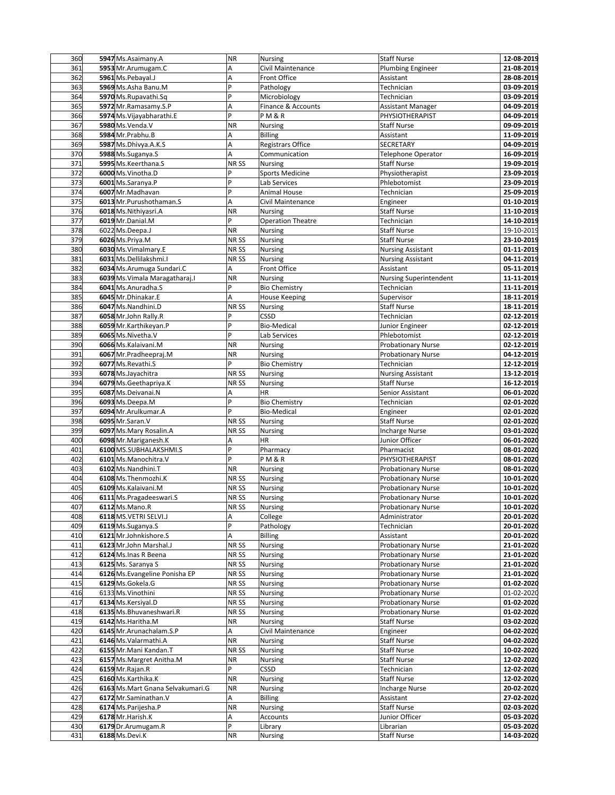| 360 | 5947 Ms.Asaimany.A                 | <b>NR</b>        | Nursing                  | <b>Staff Nurse</b>              | 12-08-2019 |
|-----|------------------------------------|------------------|--------------------------|---------------------------------|------------|
| 361 | 5953 Mr.Arumugam.C                 | A                | Civil Maintenance        | Plumbing Engineer               | 21-08-2019 |
| 362 | 5961 Ms.Pebayal.J                  | A                | Front Office             | Assistant                       | 28-08-2019 |
| 363 | 5969 Ms.Asha Banu.M                | P                | Pathology                | Technician                      | 03-09-2019 |
| 364 | 5970 Ms.Rupavathi.Sq               | P                | Microbiology             | Technician                      | 03-09-2019 |
| 365 | 5972 Mr.Ramasamy.S.P               | A                | Finance & Accounts       | <b>Assistant Manager</b>        | 04-09-2019 |
| 366 | 5974 Ms. Vijayabharathi.E          | P                | PM&R                     | PHYSIOTHERAPIST                 | 04-09-2019 |
| 367 | 5980 Ms. Venda. V                  | <b>NR</b>        | Nursing                  | <b>Staff Nurse</b>              | 09-09-2019 |
| 368 | 5984 Mr.Prabhu.B                   | A                | <b>Billing</b>           | Assistant                       | 11-09-2019 |
| 369 |                                    |                  |                          | SECRETARY                       |            |
|     | 5987 Ms.Dhivya.A.K.S               | A<br>A           | Registrars Office        |                                 | 04-09-2019 |
| 370 | 5988 Ms.Suganya.S                  |                  | Communication            | <b>Telephone Operator</b>       | 16-09-2019 |
| 371 | 5995 Ms.Keerthana.S                | NR <sub>SS</sub> | <b>Nursing</b>           | <b>Staff Nurse</b>              | 19-09-2019 |
| 372 | 6000 Ms. Vinotha.D                 | P                | <b>Sports Medicine</b>   | Physiotherapist                 | 23-09-2019 |
| 373 | 6001 Ms.Saranya.P                  | P                | Lab Services             | Phlebotomist                    | 23-09-2019 |
| 374 | 6007 Mr.Madhavan                   | P                | <b>Animal House</b>      | Technician                      | 25-09-2019 |
| 375 | 6013 Mr. Purushothaman. S          | A                | Civil Maintenance        | Engineer                        | 01-10-2019 |
| 376 | 6018 Ms.Nithiyasri.A               | <b>NR</b>        | Nursing                  | <b>Staff Nurse</b>              | 11-10-2019 |
| 377 | 6019 Mr.Danial.M                   | P                | <b>Operation Theatre</b> | Technician                      | 14-10-2019 |
| 378 | 6022 Ms.Deepa.J                    | <b>NR</b>        | Nursing                  | <b>Staff Nurse</b>              | 19-10-2019 |
| 379 | 6026 Ms.Priya.M                    | NR <sub>SS</sub> | Nursing                  | <b>Staff Nurse</b>              | 23-10-2019 |
| 380 | 6030 Ms. Vimalmary. E              | NR <sub>SS</sub> | Nursing                  | <b>Nursing Assistant</b>        | 01-11-2019 |
| 381 | 6031 Ms.Dellilakshmi.I             | NR <sub>SS</sub> | Nursing                  | <b>Nursing Assistant</b>        | 04-11-2019 |
| 382 | 6034 Ms. Arumuga Sundari.C         | Α                | Front Office             | Assistant                       | 05-11-2019 |
| 383 | 6039 Ms. Vimala Maragatharaj. I    | <b>NR</b>        | <b>Nursing</b>           | <b>Nursing Superintendent</b>   | 11-11-2019 |
| 384 | 6041 Ms.Anuradha.S                 | P                | <b>Bio Chemistry</b>     | Technician                      | 11-11-2019 |
| 385 | 6045 Mr.Dhinakar.E                 | A                | <b>House Keeping</b>     | Supervisor                      | 18-11-2019 |
| 386 | 6047 Ms.Nandhini.D                 | NR <sub>SS</sub> | Nursing                  | <b>Staff Nurse</b>              | 18-11-2019 |
| 387 | 6058 Mr.John Rally.R               | P                | CSSD                     | Technician                      | 02-12-2019 |
| 388 | 6059 Mr.Karthikeyan.P              | P                | <b>Bio-Medical</b>       |                                 | 02-12-2019 |
| 389 | 6065 Ms. Nivetha. V                | P                |                          | Junior Engineer<br>Phlebotomist | 02-12-2019 |
|     |                                    |                  | Lab Services             |                                 |            |
| 390 | 6066 Ms.Kalaivani.M                | <b>NR</b>        | Nursing                  | <b>Probationary Nurse</b>       | 02-12-2019 |
| 391 | 6067 Mr.Pradheepraj.M              | <b>NR</b><br>Þ   | Nursing                  | Probationary Nurse              | 04-12-2019 |
| 392 | 6077 Ms.Revathi.S                  |                  | <b>Bio Chemistry</b>     | Technician                      | 12-12-2019 |
| 393 | 6078 Ms.Jayachitra                 | NR <sub>SS</sub> | Nursing                  | <b>Nursing Assistant</b>        | 13-12-2019 |
| 394 | 6079 Ms. Geethapriya.K             | NR <sub>SS</sub> | <b>Nursing</b>           | <b>Staff Nurse</b>              | 16-12-2019 |
| 395 | 6087 Ms.Deivanai.N                 | A                | HR                       | Senior Assistant                | 06-01-2020 |
| 396 | 6093 Ms.Deepa.M                    | P                | <b>Bio Chemistry</b>     | Technician                      | 02-01-2020 |
| 397 | 6094 Mr.Arulkumar.A                | P                | <b>Bio-Medical</b>       | Engineer                        | 02-01-2020 |
| 398 | 6095 Mr.Saran.V                    | NR <sub>SS</sub> | Nursing                  | <b>Staff Nurse</b>              | 02-01-2020 |
| 399 | 6097 Ms. Mary Rosalin. A           | NR <sub>SS</sub> | Nursing                  | <b>Incharge Nurse</b>           | 03-01-2020 |
| 400 | 6098 Mr. Mariganesh. K             | А                | HR                       | Junior Officer                  | 06-01-2020 |
| 401 | 6100 MS.SUBHALAKSHMI.S             | $\overline{P}$   | Pharmacy                 | Pharmacist                      | 08-01-2020 |
| 402 | 6101 Ms.Manochitra.V               | P                | <b>PM&amp;R</b>          | PHYSIOTHERAPIST                 | 08-01-2020 |
| 403 | 6102 Ms.Nandhini.T                 | <b>NR</b>        | Nursing                  | <b>Probationary Nurse</b>       | 08-01-2020 |
| 404 | 6108 Ms. Thenmozhi. K              | NR SS            | Nursing                  | <b>Probationary Nurse</b>       | 10-01-2020 |
| 405 | 6109 Ms.Kalaivani.M                | NR SS            | Nursing                  | Probationary Nurse              | 10-01-2020 |
| 406 | 6111 Ms. Pragadeeswari. S          | NR <sub>SS</sub> | <b>Nursing</b>           | <b>Probationary Nurse</b>       | 10-01-2020 |
| 407 | 6112 Ms. Mano. R                   | <b>NRSS</b>      | <b>Nursing</b>           | <b>Probationary Nurse</b>       | 10-01-2020 |
| 408 | 6118 MS.VETRI SELVI.J              | Α                |                          | Administrator                   | 20-01-2020 |
| 409 | 6119 Ms.Suganya.S                  | P                | College<br>Pathology     | Technician                      | 20-01-2020 |
| 410 | 6121 Mr.Johnkishore.S              | A                | <b>Billing</b>           | Assistant                       | 20-01-2020 |
| 411 | 6123 Mr.John Marshal.J             | NR SS            |                          | <b>Probationary Nurse</b>       | 21-01-2020 |
|     |                                    |                  | Nursing                  |                                 |            |
| 412 | 6124 Ms. Inas R Beena              | NR SS            | Nursing                  | <b>Probationary Nurse</b>       | 21-01-2020 |
| 413 | 6125 Ms. Saranya S                 | NR SS            | Nursing                  | <b>Probationary Nurse</b>       | 21-01-2020 |
| 414 | 6126 Ms. Evangeline Ponisha EP     | NR SS            | Nursing                  | Probationary Nurse              | 21-01-2020 |
| 415 | 6129 Ms.Gokela.G                   | NR SS            | Nursing                  | <b>Probationary Nurse</b>       | 01-02-2020 |
| 416 | 6133 Ms. Vinothini                 | NR SS            | Nursing                  | Probationary Nurse              | 01-02-2020 |
| 417 | 6134 Ms.Kersiyal.D                 | NR SS            | Nursing                  | Probationary Nurse              | 01-02-2020 |
| 418 | 6135 Ms. Bhuvaneshwari.R           | NR SS            | <b>Nursing</b>           | <b>Probationary Nurse</b>       | 01-02-2020 |
| 419 | 6142 Ms.Haritha.M                  | <b>NR</b>        | <b>Nursing</b>           | <b>Staff Nurse</b>              | 03-02-2020 |
| 420 | 6145 Mr. Arunachalam. S.P          | Α                | Civil Maintenance        | Engineer                        | 04-02-2020 |
| 421 | 6146 Ms. Valarmathi. A             | <b>NR</b>        | Nursing                  | Staff Nurse                     | 04-02-2020 |
| 422 | 6155 Mr.Mani Kandan.T              | NR SS            | Nursing                  | Staff Nurse                     | 10-02-2020 |
| 423 | 6157 Ms. Margret Anitha. M         | <b>NR</b>        | Nursing                  | Staff Nurse                     | 12-02-2020 |
| 424 | 6159 Mr.Rajan.R                    | P                | CSSD                     | Technician                      | 12-02-2020 |
| 425 | 6160 Ms.Karthika.K                 | <b>NR</b>        | Nursing                  | Staff Nurse                     | 12-02-2020 |
| 426 | 6163 Ms. Mart Gnana Selvakumari. G | <b>NR</b>        | Nursing                  | <b>Incharge Nurse</b>           | 20-02-2020 |
| 427 | 6172 Mr.Saminathan.V               | Α                | <b>Billing</b>           | Assistant                       | 27-02-2020 |
| 428 | 6174 Ms.Parijesha.P                | <b>NR</b>        | Nursing                  | Staff Nurse                     | 02-03-2020 |
| 429 | 6178 Mr. Harish.K                  | А                | Accounts                 | Junior Officer                  | 05-03-2020 |
| 430 | 6179 Dr. Arumugam.R                | P                | Library                  | Librarian                       | 05-03-2020 |
| 431 | 6188 Ms.Devi.K                     | <b>NR</b>        | Nursing                  | <b>Staff Nurse</b>              | 14-03-2020 |
|     |                                    |                  |                          |                                 |            |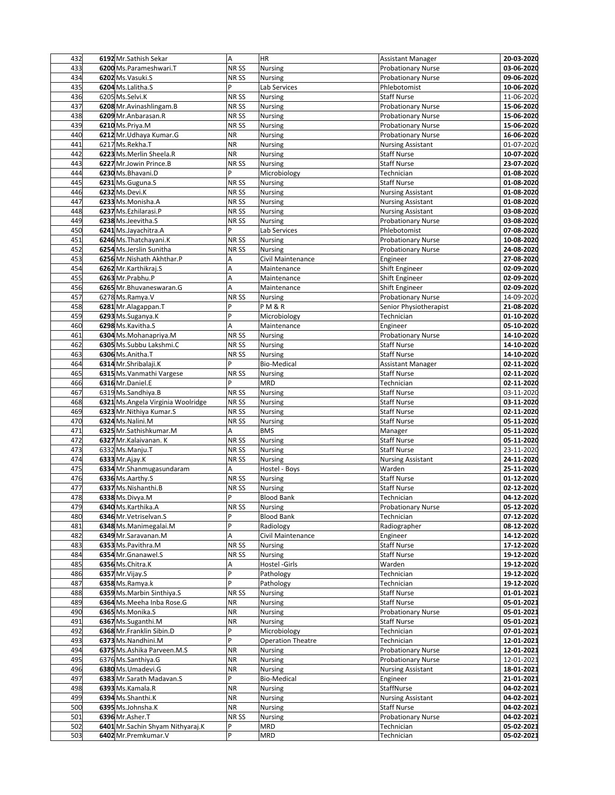| 432        | 6192 Mr. Sathish Sekar                          | A                | HR                       | <b>Assistant Manager</b>  | 20-03-2020               |
|------------|-------------------------------------------------|------------------|--------------------------|---------------------------|--------------------------|
| 433        | 6200 Ms.Parameshwari.T                          | NR <sub>SS</sub> | Nursing                  | <b>Probationary Nurse</b> | 03-06-2020               |
| 434        | 6202 Ms. Vasuki.S                               | NR SS            | Nursing                  | <b>Probationary Nurse</b> | 09-06-2020               |
| 435        | 6204 Ms.Lalitha.S                               | P                | Lab Services             | Phlebotomist              | 10-06-2020               |
| 436        | 6205 Ms.Selvi.K                                 | NR SS            | Nursing                  | <b>Staff Nurse</b>        | 11-06-2020               |
| 437        | 6208 Mr. Avinashlingam. B                       | NR <sub>SS</sub> | <b>Nursing</b>           | <b>Probationary Nurse</b> | 15-06-2020               |
| 438        | 6209 Mr.Anbarasan.R                             | NR <sub>SS</sub> | <b>Nursing</b>           | <b>Probationary Nurse</b> | 15-06-2020               |
| 439        | 6210 Ms.Priya.M                                 | NR SS            | Nursing                  | <b>Probationary Nurse</b> | 15-06-2020               |
| 440        | 6212 Mr. Udhaya Kumar. G                        | <b>NR</b>        | Nursing                  | <b>Probationary Nurse</b> | 16-06-2020               |
| 441        | 6217 Ms.Rekha.T                                 | <b>NR</b>        | Nursing                  | <b>Nursing Assistant</b>  | 01-07-2020               |
| 442        | 6223 Ms.Merlin Sheela.R                         | <b>NR</b>        | Nursing                  | <b>Staff Nurse</b>        | 10-07-2020               |
| 443        | 6227 Mr.Jowin Prince.B                          | NR SS            | <b>Nursing</b>           | <b>Staff Nurse</b>        | 23-07-2020               |
| 444        | 6230 Ms.Bhavani.D                               | P                | Microbiology             | Technician                | 01-08-2020               |
| 445        | 6231 Ms. Guguna. S                              | NR SS            | Nursing                  | <b>Staff Nurse</b>        | 01-08-2020               |
| 446        | 6232 Ms.Devi.K                                  | NR SS            |                          |                           | 01-08-2020               |
| 447        | 6233 Ms.Monisha.A                               |                  | Nursing                  | <b>Nursing Assistant</b>  |                          |
|            |                                                 | NR SS            | Nursing                  | <b>Nursing Assistant</b>  | 01-08-2020               |
| 448        | 6237 Ms.Ezhilarasi.P                            | NR SS            | Nursing                  | <b>Nursing Assistant</b>  | 03-08-2020               |
| 449        | 6238 Ms.Jeevitha.S                              | NR <sub>SS</sub> | Nursing                  | <b>Probationary Nurse</b> | 03-08-2020               |
| 450        | 6241 Ms.Jayachitra.A                            | P                | Lab Services             | Phlebotomist              | 07-08-2020               |
| 451        | 6246 Ms. Thatchayani.K                          | NR SS            | Nursing                  | <b>Probationary Nurse</b> | 10-08-2020               |
| 452        | 6254 Ms.Jerslin Sunitha                         | NR SS            | Nursing                  | <b>Probationary Nurse</b> | 24-08-2020               |
| 453        | 6256 Mr. Nishath Akhthar. P                     | Α                | Civil Maintenance        | Engineer                  | 27-08-2020               |
| 454        | 6262 Mr.Karthikraj.S                            | A                | Maintenance              | Shift Engineer            | 02-09-2020               |
| 455        | 6263 Mr.Prabhu.P                                | Α                | Maintenance              | Shift Engineer            | 02-09-2020               |
| 456        | 6265 Mr. Bhuvaneswaran. G                       | A                | Maintenance              | Shift Engineer            | 02-09-2020               |
| 457        | 6278 Ms.Ramya.V                                 | NR SS            | Nursing                  | <b>Probationary Nurse</b> | 14-09-2020               |
| 458        | 6281 Mr.Alagappan.T                             | P                | <b>PM&amp;R</b>          | Senior Physiotherapist    | 21-08-2020               |
| 459        | 6293 Ms.Suganya.K                               | P                | Microbiology             | Technician                | 01-10-2020               |
| 460        | 6298 Ms.Kavitha.S                               | A                | Maintenance              | Engineer                  | 05-10-2020               |
| 461        | 6304 Ms.Mohanapriya.M                           | NR <sub>SS</sub> | <b>Nursing</b>           | <b>Probationary Nurse</b> | 14-10-2020               |
| 462        | 6305 Ms.Subbu Lakshmi.C                         | NR SS            | <b>Nursing</b>           | <b>Staff Nurse</b>        | 14-10-2020               |
| 463        | 6306 Ms.Anitha.T                                | NR SS            | Nursing                  | <b>Staff Nurse</b>        | 14-10-2020               |
| 464        | 6314 Mr.Shribalaji.K                            | P                | <b>Bio-Medical</b>       | <b>Assistant Manager</b>  | 02-11-2020               |
| 465        | 6315 Ms. Vanmathi Vargese                       | NR SS            | Nursing                  | <b>Staff Nurse</b>        | 02-11-2020               |
| 466        | 6316 Mr.Daniel.E                                | P                | <b>MRD</b>               | Technician                | 02-11-2020               |
| 467        | 6319 Ms.Sandhiya.B                              | NR SS            | <b>Nursing</b>           | <b>Staff Nurse</b>        | 03-11-2020               |
| 468        | 6321 Ms. Angela Virginia Woolridge              | NR <sub>SS</sub> | Nursing                  | <b>Staff Nurse</b>        | 03-11-2020               |
| 469        | 6323 Mr. Nithiya Kumar. S                       | NR SS            | Nursing                  | <b>Staff Nurse</b>        | 02-11-2020               |
| 470        | 6324 Ms.Nalini.M                                | NR <sub>SS</sub> | Nursing                  | <b>Staff Nurse</b>        | 05-11-2020               |
| 471        | 6325 Mr.Sathishkumar.M                          | A                | <b>BMS</b>               | Manager                   | 05-11-2020               |
| 472        | 6327 Mr. Kalaivanan. K                          | NR SS            | Nursing                  | <b>Staff Nurse</b>        | 05-11-2020               |
| 473        | 6332 Ms.Manju.T                                 | NR <sub>SS</sub> | <b>Nursing</b>           | <b>Staff Nurse</b>        | 23-11-2020               |
| 474        | 6333 Mr.Ajay.K                                  | NR SS            | <b>Nursing</b>           | <b>Nursing Assistant</b>  | 24-11-2020               |
| 475        | 6334 Mr.Shanmugasundaram                        | Α                | Hostel - Boys            | Warden                    | 25-11-2020               |
| 476        | 6336 Ms.Aarthy.S                                | NR SS            | Nursing                  | <b>Staff Nurse</b>        | 01-12-2020               |
| 477        | 6337 Ms.Nishanthi.B                             | NR SS            | Nursing                  | <b>Staff Nurse</b>        | 02-12-2020               |
| 478        | 6338 Ms.Divya.M                                 | P                | <b>Blood Bank</b>        | Technician                | 04-12-2020               |
| 479        | 6340 Ms.Karthika.A                              | NR SS            | Nursing                  | <b>Probationary Nurse</b> | 05-12-2020               |
| 480        | 6346 Mr. Vetriselvan. S                         | P                | <b>Blood Bank</b>        | Technician                | 07-12-2020               |
| 481        | 6348 Ms. Manimegalai. M                         | P                | Radiology                | Radiographer              | 08-12-2020               |
| 482        | 6349 Mr.Saravanan.M                             | A                | Civil Maintenance        | Engineer                  | 14-12-2020               |
| 483        | 6353 Ms.Pavithra.M                              | NR SS            | Nursing                  | <b>Staff Nurse</b>        | 17-12-2020               |
| 484        | 6354 Mr. Gnanawel.S                             | NR SS            | Nursing                  | <b>Staff Nurse</b>        | 19-12-2020               |
| 485        | 6356 Ms.Chitra.K                                | А                | Hostel -Girls            | Warden                    | 19-12-2020               |
| 486        | 6357 Mr. Vijay. S                               | P                | Pathology                | Technician                | 19-12-2020               |
| 487        | 6358 Ms.Ramya.k                                 | P                | Pathology                | Technician                | 19-12-2020               |
| 488        | 6359 Ms. Marbin Sinthiya. S                     | NR SS            | Nursing                  | <b>Staff Nurse</b>        | 01-01-2021               |
|            |                                                 |                  |                          | <b>Staff Nurse</b>        |                          |
| 489<br>490 | 6364 Ms. Meeha Inba Rose. G<br>6365 Ms.Monika.S | ΝR<br><b>NR</b>  | Nursing<br>Nursing       | <b>Probationary Nurse</b> | 05-01-2021<br>05-01-2021 |
|            |                                                 |                  |                          |                           |                          |
| 491        | 6367 Ms.Suganthi.M                              | <b>NR</b><br>P   | Nursing                  | <b>Staff Nurse</b>        | 05-01-2021               |
| 492        | 6368 Mr.Franklin Sibin.D<br>6373 Ms.Nandhini.M  | P                | Microbiology             | Technician                | 07-01-2021               |
| 493<br>494 |                                                 |                  | <b>Operation Theatre</b> | Technician                | 12-01-2021               |
|            | 6375 Ms.Ashika Parveen.M.S                      | <b>NR</b>        | Nursing                  | <b>Probationary Nurse</b> | 12-01-2021               |
| 495        | 6376 Ms.Santhiya.G                              | <b>NR</b>        | Nursing                  | Probationary Nurse        | 12-01-2021               |
| 496        | 6380 Ms.Umadevi.G                               | <b>NR</b>        | Nursing                  | <b>Nursing Assistant</b>  | 18-01-2021               |
| 497        | 6383 Mr.Sarath Madavan.S                        | P                | <b>Bio-Medical</b>       | Engineer                  | 21-01-2021               |
| 498        | 6393 Ms.Kamala.R                                | <b>NR</b>        | Nursing                  | StaffNurse                | 04-02-2021               |
| 499        | 6394 Ms.Shanthi.K                               | <b>NR</b>        | Nursing                  | <b>Nursing Assistant</b>  | 04-02-2021               |
| 500        | 6395 Ms.Johnsha.K                               | <b>NR</b>        | Nursing                  | <b>Staff Nurse</b>        | 04-02-2021               |
| 501        | 6396 Mr.Asher.T                                 | NR <sub>SS</sub> | Nursing                  | <b>Probationary Nurse</b> | 04-02-2021               |
| 502        | 6401 Mr. Sachin Shyam Nithyaraj.K               | P                | MRD                      | Technician                | 05-02-2021               |
| 503        | 6402 Mr.Premkumar.V                             | P                | <b>MRD</b>               | Technician                | 05-02-2021               |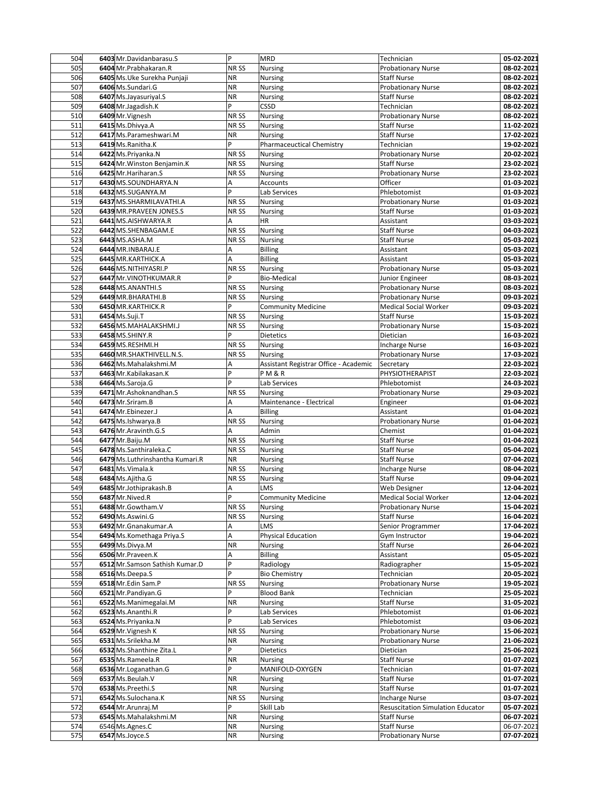| 504        | 6403 Mr.Davidanbarasu.S            | P                | <b>MRD</b>                            | Technician                                      | 05-02-2021               |
|------------|------------------------------------|------------------|---------------------------------------|-------------------------------------------------|--------------------------|
| 505        | 6404 Mr.Prabhakaran.R              | NR <sub>SS</sub> | Nursing                               | <b>Probationary Nurse</b>                       | 08-02-2021               |
| 506        | 6405 Ms. Uke Surekha Punjaji       | <b>NR</b>        | Nursing                               | <b>Staff Nurse</b>                              | 08-02-2021               |
| 507        | 6406 Ms.Sundari.G                  | <b>NR</b>        | Nursing                               | <b>Probationary Nurse</b>                       | 08-02-2021               |
| 508        | 6407 Ms.Jayasuriyal.S              | <b>NR</b>        | Nursing                               | <b>Staff Nurse</b>                              | 08-02-2021               |
| 509        | 6408 Mr.Jagadish.K                 | P                | CSSD                                  | Technician                                      | 08-02-2021               |
| 510        | 6409 Mr. Vignesh                   | NR SS            | <b>Nursing</b>                        | <b>Probationary Nurse</b>                       | 08-02-2021               |
| 511        | 6415 Ms.Dhivya.A                   | NR SS            | Nursing                               | <b>Staff Nurse</b>                              | 11-02-2021               |
| 512        | 6417 Ms.Parameshwari.M             | <b>NR</b>        | Nursing                               | <b>Staff Nurse</b>                              | 17-02-2021               |
| 513        | 6419 Ms.Ranitha.K                  | P                | Pharmaceuctical Chemistry             | Technician                                      | 19-02-2021               |
| 514        | 6422 Ms.Priyanka.N                 | NR SS            | <b>Nursing</b>                        | <b>Probationary Nurse</b>                       | 20-02-2021               |
| 515        | 6424 Mr. Winston Benjamin.K        | NR SS            | <b>Nursing</b>                        | <b>Staff Nurse</b>                              | 23-02-2021               |
| 516        | 6425 Mr. Hariharan. S              | NR SS            | Nursing                               | <b>Probationary Nurse</b>                       | 23-02-2021               |
| 517        | 6430 MS.SOUNDHARYA.N               | A                | Accounts                              | Officer                                         | 01-03-2021               |
| 518        | 6432 MS.SUGANYA.M                  | P                | Lab Services                          | Phlebotomist                                    | 01-03-2021               |
| 519        | 6437 MS.SHARMILAVATHI.A            | NR SS            | Nursing                               | <b>Probationary Nurse</b>                       | 01-03-2021               |
| 520        |                                    | NR SS            | Nursing                               |                                                 |                          |
| 521        | 6439 MR. PRAVEEN JONES.S           |                  | HR                                    | <b>Staff Nurse</b>                              | 01-03-2021               |
|            | 6441 MS.AISHWARYA.R                | А                |                                       | Assistant                                       | 03-03-2021               |
| 522        | 6442 MS.SHENBAGAM.E                | NR SS            | Nursing                               | <b>Staff Nurse</b>                              | 04-03-2021               |
| 523        | 6443 MS.ASHA.M                     | NR SS            | Nursing                               | <b>Staff Nurse</b>                              | 05-03-2021               |
| 524        | 6444 MR.INBARAJ.E                  | Α                | Billing                               | Assistant                                       | 05-03-2021               |
| 525        | 6445 MR.KARTHICK.A                 | A                | Billing                               | Assistant                                       | 05-03-2021               |
| 526        | 6446 MS.NITHIYASRI.P               | NR <sub>SS</sub> | <b>Nursing</b>                        | <b>Probationary Nurse</b>                       | 05-03-2021               |
| 527        | 6447 Mr. VINOTHKUMAR.R             | P                | <b>Bio-Medical</b>                    | Junior Engineer                                 | 08-03-2021               |
| 528        | 6448 MS.ANANTHI.S                  | NR SS            | <b>Nursing</b>                        | <b>Probationary Nurse</b>                       | 08-03-2021               |
| 529        | 6449 MR.BHARATHI.B                 | NR SS            | Nursing                               | <b>Probationary Nurse</b>                       | 09-03-2021               |
| 530        | 6450 MR.KARTHICK.R                 | P                | <b>Community Medicine</b>             | <b>Medical Social Worker</b>                    | 09-03-2021               |
| 531        | 6454 Ms.Suji.T                     | NR SS            | Nursing                               | <b>Staff Nurse</b>                              | 15-03-2021               |
| 532        | 6456 MS.MAHALAKSHMI.J              | NR SS            | Nursing                               | <b>Probationary Nurse</b>                       | 15-03-2021               |
| 533        | 6458 MS.SHINY.R                    | P                | Dietetics                             | Dietician                                       | 16-03-2021               |
| 534        | 6459 MS.RESHMI.H                   | NR <sub>SS</sub> | <b>Nursing</b>                        | <b>Incharge Nurse</b>                           | 16-03-2021               |
| 535        | 6460 MR.SHAKTHIVELL.N.S.           | NR SS            | Nursing                               | <b>Probationary Nurse</b>                       | 17-03-2021               |
| 536        | 6462 Ms.Mahalakshmi.M              | Α                | Assistant Registrar Office - Academic | Secretary                                       | 22-03-2021               |
| 537        | 6463 Mr. Kabilakasan. K            | P                | P M & R                               | PHYSIOTHERAPIST                                 | 22-03-2021               |
| 538        | 6464 Ms.Saroja.G                   | P                | Lab Services                          | Phlebotomist                                    | 24-03-2021               |
| 539        | 6471 Mr.Ashoknandhan.S             | NR SS            | <b>Nursing</b>                        | <b>Probationary Nurse</b>                       | 29-03-2021               |
| 540        | 6473 Mr.Sriram.B                   | Α                | Maintenance - Electrical              | Engineer                                        | 01-04-2021               |
| 541        | 6474 Mr.Ebinezer.J                 | A                | <b>Billing</b>                        | Assistant                                       | 01-04-2021               |
| 542        | 6475 Ms.Ishwarya.B                 | NR <sub>SS</sub> | Nursing                               | <b>Probationary Nurse</b>                       | 01-04-2021               |
| 543        | 6476 Mr.Aravinth.G.S               | A                | Admin                                 | Chemist                                         | 01-04-2021               |
| 544        | 6477 Mr.Baiju.M                    | NR SS            | Nursing                               | <b>Staff Nurse</b>                              | 01-04-2021               |
| 545        | 6478 Ms.Santhiraleka.C             | NR <sub>SS</sub> | <b>Nursing</b>                        | <b>Staff Nurse</b>                              | 05-04-2021               |
| 546        | 6479 Ms. Luthrinshantha Kumari.R   | <b>NR</b>        | <b>Nursing</b>                        | <b>Staff Nurse</b>                              | 07-04-2021               |
| 547        | 6481 Ms. Vimala.k                  | NR <sub>SS</sub> | Nursing                               | <b>Incharge Nurse</b>                           | 08-04-2021               |
| 548        | 6484 Ms.Ajitha.G                   | NR SS            | Nursing                               | <b>Staff Nurse</b>                              | 09-04-2021               |
| 549        | 6485 Mr.Jothiprakash.B             | Α                | LMS                                   | Web Designer                                    | 12-04-2021               |
| 550        | 6487 Mr.Nived.R                    | P                | <b>Community Medicine</b>             | <b>Medical Social Worker</b>                    | 12-04-2021               |
| 551        | 6488 Mr.Gowtham.V                  | NR SS            | <b>Nursing</b>                        | <b>Probationary Nurse</b>                       | 15-04-2021               |
| 552        | 6490 Ms.Aswini.G                   | NR SS            | Nursing                               | <b>Staff Nurse</b>                              | 16-04-2021               |
| 553        | 6492 Mr.Gnanakumar.A               | Α                | LMS                                   | Senior Programmer                               | 17-04-2021               |
| 554        | 6494 Ms. Komethaga Priya. S        | A                | Physical Education                    | Gym Instructor                                  | 19-04-2021               |
| 555        | 6499 Ms.Divya.M                    | <b>NR</b>        | Nursing                               | Staff Nurse                                     | 26-04-2021               |
| 556        | 6506 Mr.Praveen.K                  | А                | <b>Billing</b>                        | Assistant                                       | 05-05-2021               |
| 557        | 6512 Mr.Samson Sathish Kumar.D     | $\overline{P}$   | Radiology                             | Radiographer                                    | 15-05-2021               |
| 558        | 6516 Ms.Deepa.S                    | P                | <b>Bio Chemistry</b>                  | Technician                                      | 20-05-2021               |
| 559        | 6518 Mr.Edin Sam.P                 | NR SS            | Nursing                               | <b>Probationary Nurse</b>                       | 19-05-2021               |
| 560        | 6521 Mr.Pandiyan.G                 | P                | <b>Blood Bank</b>                     | Technician                                      | 25-05-2021               |
| 561        | 6522 Ms.Manimegalai.M              | <b>NR</b>        | Nursing                               | <b>Staff Nurse</b>                              | 31-05-2021               |
| 562        | 6523 Ms.Ananthi.R                  | P                | Lab Services                          | Phlebotomist                                    | 01-06-2021               |
| 563        | 6524 Ms.Priyanka.N                 | P                | Lab Services                          | Phlebotomist                                    | 03-06-2021               |
| 564        | 6529 Mr. Vignesh K                 | NR SS            | Nursing                               | <b>Probationary Nurse</b>                       | 15-06-2021               |
| 565        | 6531 Ms.Srilekha.M                 | ΝR               | Nursing                               | <b>Probationary Nurse</b>                       | 21-06-2021               |
| 566        | 6532 Ms.Shanthine Zita.L           | P                | Dietetics                             | Dietician                                       | 25-06-2021               |
| 567        | 6535 Ms.Rameela.R                  | <b>NR</b>        | Nursing                               | <b>Staff Nurse</b>                              | 01-07-2021               |
| 568        | 6536 Mr.Loganathan.G               | P                | MANIFOLD-OXYGEN                       | Technician                                      | 01-07-2021               |
| 569        | 6537 Ms.Beulah.V                   | <b>NR</b>        | Nursing                               | <b>Staff Nurse</b>                              | 01-07-2021               |
| 570        | 6538 Ms.Preethi.S                  | <b>NR</b>        | Nursing                               | <b>Staff Nurse</b>                              | 01-07-2021               |
| 571        | 6542 Ms.Sulochana.K                | NR SS            | Nursing                               | <b>Incharge Nurse</b>                           | 03-07-2021               |
|            |                                    | P                | Skill Lab                             | <b>Resuscitation Simulation Educator</b>        | 05-07-2021               |
| 572        | 6544 Mr.Arunraj.M                  |                  |                                       |                                                 |                          |
| 573        | 6545 Ms.Mahalakshmi.M              | NR               | Nursing                               | <b>Staff Nurse</b>                              | 06-07-2021               |
| 574<br>575 | 6546 Ms.Agnes.C<br>6547 Ms.Joyce.S | NR<br><b>NR</b>  | <b>Nursing</b><br>Nursing             | <b>Staff Nurse</b><br><b>Probationary Nurse</b> | 06-07-2021<br>07-07-2021 |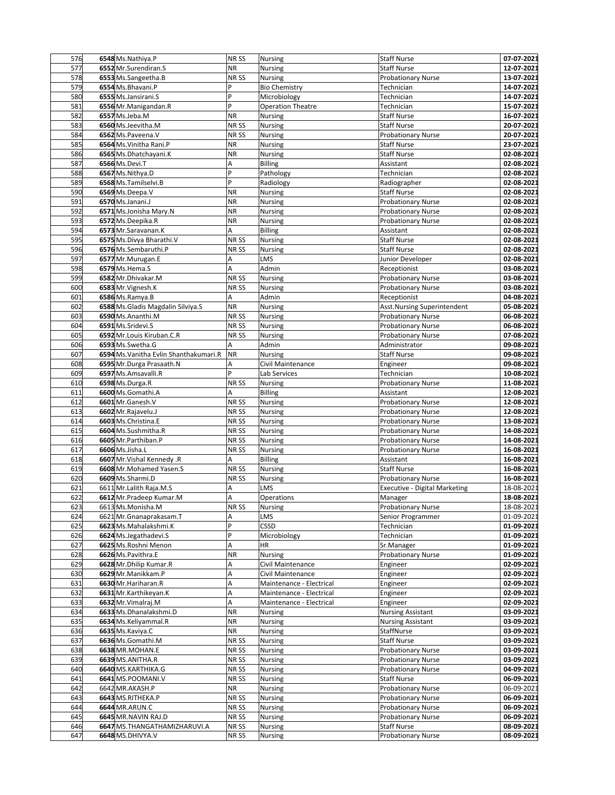| 576 | 6548 Ms.Nathiya.P                      | NR <sub>SS</sub> | Nursing                  | <b>Staff Nurse</b>                   | 07-07-2021 |
|-----|----------------------------------------|------------------|--------------------------|--------------------------------------|------------|
| 577 | 6552 Mr.Surendiran.S                   | <b>NR</b>        | <b>Nursing</b>           | <b>Staff Nurse</b>                   | 12-07-2021 |
| 578 | 6553 Ms.Sangeetha.B                    | NR <sub>SS</sub> | Nursing                  | <b>Probationary Nurse</b>            | 13-07-2021 |
| 579 | 6554 Ms.Bhavani.P                      | P                | <b>Bio Chemistry</b>     | Technician                           | 14-07-2021 |
| 580 | 6555 Ms.Jansirani.S                    | $\mathsf{P}$     | Microbiology             | Technician                           | 14-07-2021 |
| 581 | 6556 Mr. Manigandan. R                 | P                | <b>Operation Theatre</b> | Technician                           | 15-07-2021 |
| 582 | 6557 Ms.Jeba.M                         | <b>NR</b>        | Nursing                  | <b>Staff Nurse</b>                   | 16-07-2021 |
| 583 | 6560 Ms.Jeevitha.M                     | NR SS            | Nursing                  | <b>Staff Nurse</b>                   | 20-07-2021 |
| 584 | 6562 Ms.Paveena.V                      | NR SS            | Nursing                  | <b>Probationary Nurse</b>            | 20-07-2021 |
| 585 | 6564 Ms. Vinitha Rani. P               | ΝR               | Nursing                  | <b>Staff Nurse</b>                   | 23-07-2021 |
| 586 | 6565 Ms.Dhatchayani.K                  | <b>NR</b>        | Nursing                  | <b>Staff Nurse</b>                   | 02-08-2021 |
| 587 | 6566 Ms.Devi.T                         | Α                | <b>Billing</b>           | Assistant                            | 02-08-2021 |
| 588 | 6567 Ms.Nithya.D                       | P                | Pathology                | Technician                           | 02-08-2021 |
| 589 | 6568 Ms.Tamilselvi.B                   | P                | Radiology                | Radiographer                         | 02-08-2021 |
| 590 | 6569 Ms.Deepa.V                        | <b>NR</b>        | Nursing                  | <b>Staff Nurse</b>                   | 02-08-2021 |
| 591 | 6570 Ms.Janani.J                       | <b>NR</b>        |                          |                                      | 02-08-2021 |
| 592 | 6571 Ms.Jonisha Mary.N                 | ΝR               | Nursing                  | <b>Probationary Nurse</b>            |            |
| 593 |                                        | <b>NR</b>        | Nursing                  | <b>Probationary Nurse</b>            | 02-08-2021 |
|     | 6572 Ms.Deepika.R                      |                  | Nursing                  | <b>Probationary Nurse</b>            | 02-08-2021 |
| 594 | 6573 Mr.Saravanan.K                    | A                | <b>Billing</b>           | Assistant                            | 02-08-2021 |
| 595 | 6575 Ms.Divya Bharathi.V               | NR <sub>SS</sub> | Nursing                  | <b>Staff Nurse</b>                   | 02-08-2021 |
| 596 | 6576 Ms.Sembaruthi.P                   | NR <sub>SS</sub> | Nursing                  | <b>Staff Nurse</b>                   | 02-08-2021 |
| 597 | 6577 Mr.Murugan.E                      | Α                | LMS                      | Junior Developer                     | 02-08-2021 |
| 598 | 6579 Ms.Hema.S                         | A                | Admin                    | Receptionist                         | 03-08-2021 |
| 599 | 6582 Mr.Dhivakar.M                     | NR <sub>SS</sub> | <b>Nursing</b>           | <b>Probationary Nurse</b>            | 03-08-2021 |
| 600 | 6583 Mr. Vignesh.K                     | NR <sub>SS</sub> | Nursing                  | <b>Probationary Nurse</b>            | 03-08-2021 |
| 601 | 6586 Ms.Ramya.B                        | A                | Admin                    | Receptionist                         | 04-08-2021 |
| 602 | 6588 Ms. Gladis Magdalin Silviya. S    | <b>NR</b>        | Nursing                  | Asst.Nursing Superintendent          | 05-08-2021 |
| 603 | 6590 Ms.Ananthi.M                      | NR SS            | Nursing                  | <b>Probationary Nurse</b>            | 06-08-2021 |
| 604 | 6591 Ms.Sridevi.S                      | NR <sub>SS</sub> | Nursing                  | <b>Probationary Nurse</b>            | 06-08-2021 |
| 605 | 6592 Mr.Louis Kiruban.C.R              | NR <sub>SS</sub> | Nursing                  | <b>Probationary Nurse</b>            | 07-08-2021 |
| 606 | 6593 Ms.Swetha.G                       | A                | Admin                    | Administrator                        | 09-08-2021 |
| 607 | 6594 Ms. Vanitha Evlin Shanthakumari.R | <b>NR</b>        | Nursing                  | <b>Staff Nurse</b>                   | 09-08-2021 |
| 608 | 6595 Mr.Durga Prasaath.N               | Α                | Civil Maintenance        | Engineer                             | 09-08-2021 |
| 609 | 6597 Ms.Amsavalli.R                    | P                | Lab Services             | Technician                           | 10-08-2021 |
| 610 | 6598 Ms.Durga.R                        | NR SS            | Nursing                  | <b>Probationary Nurse</b>            | 11-08-2021 |
| 611 | 6600 Ms.Gomathi.A                      | A                | <b>Billing</b>           | Assistant                            | 12-08-2021 |
| 612 | 6601 Mr.Ganesh.V                       | NR SS            | Nursing                  | <b>Probationary Nurse</b>            | 12-08-2021 |
| 613 | 6602 Mr.Rajavelu.J                     | NR SS            | Nursing                  | <b>Probationary Nurse</b>            | 12-08-2021 |
| 614 | 6603 Ms.Christina.E                    | NR SS            | Nursing                  | <b>Probationary Nurse</b>            | 13-08-2021 |
| 615 | 6604 Ms.Sushmitha.R                    | NR SS            | Nursing                  | <b>Probationary Nurse</b>            | 14-08-2021 |
| 616 | 6605 Mr.Parthiban.P                    | NR <sub>SS</sub> | Nursing                  | <b>Probationary Nurse</b>            | 14-08-2021 |
| 617 | 6606 Ms.Jisha.L                        | NR <sub>SS</sub> | Nursing                  | <b>Probationary Nurse</b>            | 16-08-2021 |
| 618 | 6607 Mr. Vishal Kennedy .R             | A                | <b>Billing</b>           | Assistant                            | 16-08-2021 |
| 619 | 6608 Mr.Mohamed Yasen.S                | NR <sub>SS</sub> | Nursing                  | <b>Staff Nurse</b>                   | 16-08-2021 |
| 620 | 6609 Ms.Sharmi.D                       | NR SS            | Nursing                  | <b>Probationary Nurse</b>            | 16-08-2021 |
| 621 | 6611 Mr. Lalith Raja.M.S               | Α                | LMS                      | <b>Executive - Digital Marketing</b> | 18-08-2021 |
| 622 | 6612 Mr.Pradeep Kumar.M                | A                | Operations               | Manager                              | 18-08-2021 |
| 623 | 6613 Ms.Monisha.M                      | NR SS            | Nursing                  | <b>Probationary Nurse</b>            | 18-08-2021 |
| 624 | 6621 Mr. Gnanaprakasam. T              | A                | LMS                      | Senior Programmer                    | 01-09-2021 |
| 625 | 6623 Ms.Mahalakshmi.K                  | P                | CSSD                     | Technician                           | 01-09-2021 |
| 626 | 6624 Ms.Jegathadevi.S                  | P                | Microbiology             | Technician                           | 01-09-2021 |
| 627 | 6625 Ms.Roshni Menon                   | A                | ΗR                       | Sr.Manager                           | 01-09-2021 |
| 628 | 6626 Ms.Pavithra.E                     | <b>NR</b>        | Nursing                  | <b>Probationary Nurse</b>            | 01-09-2021 |
| 629 | 6628 Mr.Dhilip Kumar.R                 | Α                | Civil Maintenance        | Engineer                             | 02-09-2021 |
| 630 | 6629 Mr. Manikkam. P                   | A                | Civil Maintenance        | Engineer                             | 02-09-2021 |
| 631 | 6630 Mr. Hariharan.R                   | Α                | Maintenance - Electrical | Engineer                             | 02-09-2021 |
| 632 | 6631 Mr.Karthikeyan.K                  | A                | Maintenance - Electrical | Engineer                             | 02-09-2021 |
| 633 | 6632 Mr. Vimalraj. M                   | A                | Maintenance - Electrical | Engineer                             | 02-09-2021 |
| 634 | 6633 Ms.Dhanalakshmi.D                 | <b>NR</b>        | Nursing                  | <b>Nursing Assistant</b>             | 03-09-2021 |
| 635 | 6634 Ms.Keliyammal.R                   | <b>NR</b>        | Nursing                  | <b>Nursing Assistant</b>             | 03-09-2021 |
| 636 | 6635 Ms.Kaviya.C                       | <b>NR</b>        | Nursing                  | StaffNurse                           | 03-09-2021 |
| 637 | 6636 Ms.Gomathi.M                      | NR SS            | Nursing                  | <b>Staff Nurse</b>                   | 03-09-2021 |
| 638 | 6638 MR.MOHAN.E                        | NR SS            | Nursing                  | <b>Probationary Nurse</b>            | 03-09-2021 |
| 639 | 6639 MS.ANITHA.R                       | NR SS            | Nursing                  | <b>Probationary Nurse</b>            | 03-09-2021 |
| 640 | 6640 MS.KARTHIKA.G                     | NR SS            | Nursing                  | <b>Probationary Nurse</b>            | 04-09-2021 |
| 641 | 6641 MS.POOMANI.V                      | NR <sub>SS</sub> | <b>Nursing</b>           | <b>Staff Nurse</b>                   | 06-09-2021 |
| 642 | 6642 MR.AKASH.P                        | <b>NR</b>        | <b>Nursing</b>           | Probationary Nurse                   | 06-09-2021 |
| 643 | 6643 MS.RITHEKA.P                      | NR SS            | Nursing                  | <b>Probationary Nurse</b>            | 06-09-2021 |
| 644 | <b>6644 MR.ARUN.C</b>                  | NR SS            | <b>Nursing</b>           | <b>Probationary Nurse</b>            | 06-09-2021 |
|     | 6645 MR.NAVIN RAJ.D                    |                  |                          | Probationary Nurse                   |            |
| 645 |                                        | NR SS            | Nursing                  |                                      | 06-09-2021 |
| 646 | 6647 MS.THANGATHAMIZHARUVI.A           | NR SS            | <b>Nursing</b>           | <b>Staff Nurse</b>                   | 08-09-2021 |
| 647 | 6648 MS.DHIVYA.V                       | NR SS            | Nursing                  | <b>Probationary Nurse</b>            | 08-09-2021 |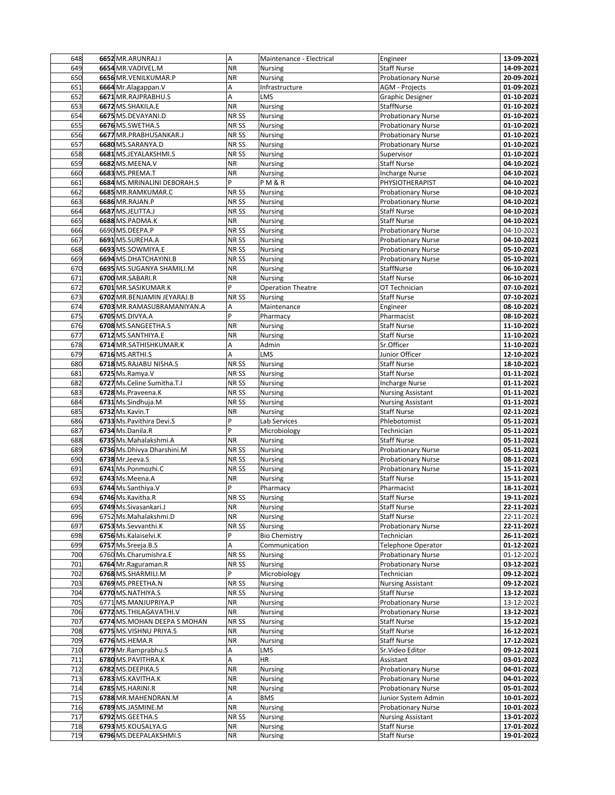| 648 | 6652 MR.ARUNRAJ.I           | A                | Maintenance - Electrical | Engineer                  | 13-09-2021 |
|-----|-----------------------------|------------------|--------------------------|---------------------------|------------|
| 649 | 6654 MR. VADIVEL.M          | <b>NR</b>        | Nursing                  | <b>Staff Nurse</b>        | 14-09-2021 |
| 650 | 6656 MR. VENILKUMAR. P      | <b>NR</b>        | Nursing                  | <b>Probationary Nurse</b> | 20-09-2021 |
| 651 | 6664 Mr.Alagappan.V         | Α                | Infrastructure           | <b>AGM - Projects</b>     | 01-09-2021 |
| 652 | 6671 MR.RAJPRABHU.S         | A                | LMS                      | <b>Graphic Designer</b>   | 01-10-2021 |
| 653 | 6672 MS.SHAKILA.E           | <b>NR</b>        | Nursing                  | StaffNurse                | 01-10-2021 |
| 654 | 6675 MS.DEVAYANI.D          | NR <sub>SS</sub> | <b>Nursing</b>           | <b>Probationary Nurse</b> | 01-10-2021 |
| 655 | 6676 MS.SWETHA.S            | NR <sub>SS</sub> | Nursing                  | <b>Probationary Nurse</b> | 01-10-2021 |
| 656 | 6677 MR.PRABHUSANKAR.J      | NR SS            | Nursing                  | <b>Probationary Nurse</b> | 01-10-2021 |
|     |                             |                  |                          |                           |            |
| 657 | 6680 MS.SARANYA.D           | NR SS            | Nursing                  | <b>Probationary Nurse</b> | 01-10-2021 |
| 658 | 6681 MS.JEYALAKSHMI.S       | NR <sub>SS</sub> | Nursing                  | Supervisor                | 01-10-2021 |
| 659 | 6682 MS.MEENA.V             | <b>NR</b>        | <b>Nursing</b>           | <b>Staff Nurse</b>        | 04-10-2021 |
| 660 | 6683 MS.PREMA.T             | <b>NR</b>        | Nursing                  | <b>Incharge Nurse</b>     | 04-10-2021 |
| 661 | 6684 MS.MRINALINI DEBORAH.S | P                | PM&R                     | PHYSIOTHERAPIST           | 04-10-2021 |
| 662 | 6685 MR.RAMKUMAR.C          | NR SS            | Nursing                  | <b>Probationary Nurse</b> | 04-10-2021 |
| 663 | 6686 MR.RAJAN.P             | NR <sub>SS</sub> | Nursing                  | <b>Probationary Nurse</b> | 04-10-2021 |
| 664 | 6687 MS.JELITTA.J           | NR <sub>SS</sub> | Nursing                  | <b>Staff Nurse</b>        | 04-10-2021 |
| 665 | 6688 MS.PADMA.K             | <b>NR</b>        | <b>Nursing</b>           | <b>Staff Nurse</b>        | 04-10-2021 |
| 666 | 6690 MS.DEEPA.P             | NR <sub>SS</sub> | Nursing                  | <b>Probationary Nurse</b> | 04-10-2021 |
| 667 | 6691 MS.SUREHA.A            | NR SS            | Nursing                  | Probationary Nurse        | 04-10-2021 |
| 668 | 6693 MS.SOWMIYA.E           | NR SS            | Nursing                  | <b>Probationary Nurse</b> | 05-10-2021 |
| 669 | 6694 MS.DHATCHAYINI.B       | NR SS            | Nursing                  | <b>Probationary Nurse</b> | 05-10-2021 |
| 670 | 6695 MS.SUGANYA SHAMILI.M   | <b>NR</b>        | <b>Nursing</b>           | StaffNurse                | 06-10-2021 |
| 671 | 6700 MR.SABARI.R            | <b>NR</b>        | <b>Nursing</b>           | <b>Staff Nurse</b>        | 06-10-2021 |
| 672 | 6701 MR.SASIKUMAR.K         | P                | <b>Operation Theatre</b> | OT Technician             | 07-10-2021 |
| 673 | 6702 MR.BENJAMIN JEYARAJ.B  | NR SS            | Nursing                  | <b>Staff Nurse</b>        | 07-10-2021 |
| 674 | 6703 MR.RAMASUBRAMANIYAN.A  | А                | Maintenance              | Engineer                  | 08-10-2021 |
| 675 | 6705 MS.DIVYA.A             | P                | Pharmacy                 | Pharmacist                | 08-10-2021 |
| 676 | 6708 MS.SANGEETHA.S         | <b>NR</b>        |                          | <b>Staff Nurse</b>        |            |
| 677 |                             | <b>NR</b>        | Nursing                  |                           | 11-10-2021 |
|     | 6712 MS.SANTHIYA.E          |                  | Nursing                  | <b>Staff Nurse</b>        | 11-10-2021 |
| 678 | 6714 MR.SATHISHKUMAR.K      | A                | Admin                    | Sr.Officer                | 11-10-2021 |
| 679 | 6716 MS.ARTHI.S             | A                | LMS                      | Junior Officer            | 12-10-2021 |
| 680 | 6718 MS.RAJABU NISHA.S      | NR SS            | Nursing                  | <b>Staff Nurse</b>        | 18-10-2021 |
| 681 | 6725 Ms.Ramya.V             | NR SS            | Nursing                  | <b>Staff Nurse</b>        | 01-11-2021 |
| 682 | 6727 Ms.Celine Sumitha.T.I  | NR <sub>SS</sub> | Nursing                  | <b>Incharge Nurse</b>     | 01-11-2021 |
| 683 | 6728 Ms.Praveena.K          | NR <sub>SS</sub> | <b>Nursing</b>           | <b>Nursing Assistant</b>  | 01-11-2021 |
| 684 | 6731 Ms.Sindhuja.M          | NR <sub>SS</sub> | Nursing                  | <b>Nursing Assistant</b>  | 01-11-2021 |
| 685 | 6732 Ms.Kavin.T             | <b>NR</b>        | Nursing                  | <b>Staff Nurse</b>        | 02-11-2021 |
| 686 | 6733 Ms. Pavithira Devi.S   | P                | Lab Services             | Phlebotomist              | 05-11-2021 |
| 687 | 6734 Ms.Danila.R            | P                | Microbiology             | Technician                | 05-11-2021 |
| 688 | 6735 Ms.Mahalakshmi.A       | <b>NR</b>        | Nursing                  | <b>Staff Nurse</b>        | 05-11-2021 |
| 689 | 6736 Ms.Dhivya Dharshini.M  | NR <sub>SS</sub> | <b>Nursing</b>           | <b>Probationary Nurse</b> | 05-11-2021 |
| 690 | 6738 Mr.Jeeva.S             | NR <sub>SS</sub> | Nursing                  | <b>Probationary Nurse</b> | 08-11-2021 |
| 691 | 6741 Ms.Ponmozhi.C          | NR SS            | Nursing                  | <b>Probationary Nurse</b> | 15-11-2021 |
| 692 | 6743 Ms.Meena.A             | <b>NR</b>        | Nursing                  | <b>Staff Nurse</b>        | 15-11-2021 |
| 693 | 6744 Ms.Santhiya.V          | P                | Pharmacy                 | Pharmacist                | 18-11-2021 |
| 694 | 6746 Ms.Kavitha.R           | NR <sub>SS</sub> | <b>Nursing</b>           | <b>Staff Nurse</b>        | 19-11-2021 |
| 695 | 6749 Ms. Sivasankari. J     | <b>NR</b>        | <b>Nursing</b>           | Staff Nurse               | 22-11-2021 |
| 696 | 6752 Ms.Mahalakshmi.D       | <b>NR</b>        | Nursing                  | <b>Staff Nurse</b>        | 22-11-2021 |
| 697 | 6753 Ms.Sevvanthi.K         | NR SS            | Nursing                  | <b>Probationary Nurse</b> | 22-11-2021 |
| 698 | 6756 Ms.Kalaiselvi.K        | P                | <b>Bio Chemistry</b>     | Technician                | 26-11-2021 |
| 699 | 6757 Ms. Sreeja. B.S        | A                | Communication            | <b>Telephone Operator</b> | 01-12-2021 |
|     |                             |                  |                          |                           |            |
| 700 | 6760 Ms.Charumishra.E       | NR SS            | Nursing                  | <b>Probationary Nurse</b> | 01-12-2021 |
| 701 | 6764 Mr.Raguraman.R         | NR <sub>SS</sub> | <b>Nursing</b>           | <b>Probationary Nurse</b> | 03-12-2021 |
| 702 | 6768 MS.SHARMILI.M          | P                | Microbiology             | Technician                | 09-12-2021 |
| 703 | 6769 MS.PREETHA.N           | NR SS            | Nursing                  | <b>Nursing Assistant</b>  | 09-12-2021 |
| 704 | 6770 MS.NATHIYA.S           | NR SS            | Nursing                  | <b>Staff Nurse</b>        | 13-12-2021 |
| 705 | 6771 MS.MANJUPRIYA.P        | ΝR               | Nursing                  | <b>Probationary Nurse</b> | 13-12-2021 |
| 706 | 6772 MS.THILAGAVATHI.V      | <b>NR</b>        | Nursing                  | <b>Probationary Nurse</b> | 13-12-2021 |
| 707 | 6774 MS.MOHAN DEEPA S MOHAN | NR <sub>SS</sub> | Nursing                  | <b>Staff Nurse</b>        | 15-12-2021 |
| 708 | 6775 MS. VISHNU PRIYA.S     | <b>NR</b>        | <b>Nursing</b>           | <b>Staff Nurse</b>        | 16-12-2021 |
| 709 | 6776 MS.HEMA.R              | <b>NR</b>        | Nursing                  | Staff Nurse               | 17-12-2021 |
| 710 | 6779 Mr.Ramprabhu.S         | А                | LMS                      | Sr.Video Editor           | 09-12-2021 |
| 711 | 6780 MS.PAVITHRA.K          | A                | HR                       | Assistant                 | 03-01-2022 |
| 712 | 6782 MS.DEEPIKA.S           | <b>NR</b>        | Nursing                  | <b>Probationary Nurse</b> | 04-01-2022 |
| 713 | 6783 MS.KAVITHA.K           | <b>NR</b>        | Nursing                  | <b>Probationary Nurse</b> | 04-01-2022 |
| 714 | 6785 MS.HARINI.R            | <b>NR</b>        | Nursing                  | Probationary Nurse        | 05-01-2022 |
| 715 | 6788 MR.MAHENDRAN.M         | А                | <b>BMS</b>               | Junior System Admin       | 10-01-2022 |
| 716 | 6789 MS.JASMINE.M           | <b>NR</b>        | Nursing                  | Probationary Nurse        | 10-01-2022 |
| 717 | 6792 MS.GEETHA.S            | NR SS            | Nursing                  | <b>Nursing Assistant</b>  | 13-01-2022 |
| 718 | 6793 MS.KOUSALYA.G          | <b>NR</b>        | <b>Nursing</b>           | <b>Staff Nurse</b>        | 17-01-2022 |
| 719 | 6796 MS.DEEPALAKSHMI.S      | <b>NR</b>        | Nursing                  | <b>Staff Nurse</b>        | 19-01-2022 |
|     |                             |                  |                          |                           |            |